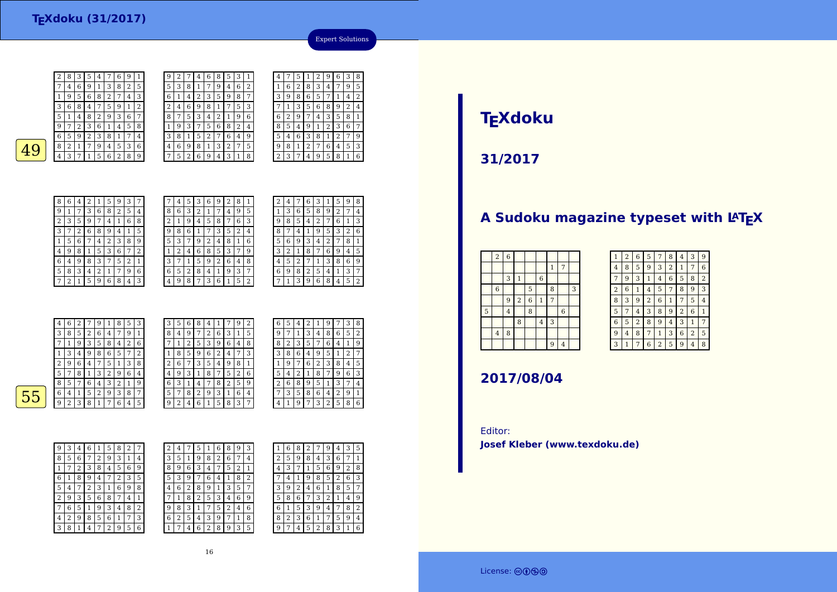2

7

5

7

 $1\overline{9}$ 

3 $\begin{array}{|c|c|c|c|c|c|} \hline 3 & 6 & 8 & 4 \\ \hline \end{array}$  $175912$ 5 $\begin{array}{c|c} 5 & 1 \\ \hline 9 & 7 \end{array}$ 8 2 9 3 6 7 <sup>2</sup> <sup>3</sup> <sup>6</sup> <sup>1</sup> <sup>4</sup> <sup>5</sup> <sup>8</sup>  $\frac{6}{2}$  5 9 2 9 2 3 8 1 7 4  $\frac{8}{2}$  $49$   $821794536$ <br> $437156289$ 7 1 5 6 2 8 9  $\begin{array}{c|c} 6 & 1 \\ \hline 2 & 4 \end{array}$ 8 $\begin{array}{c|c} 8 & 7 \\ \hline 1 & 9 \end{array}$ 3 <sup>8</sup> <sup>1</sup>4 <sup>6</sup> <sup>9</sup> <sup>8</sup> <sup>1</sup> <sup>3</sup> <sup>2</sup> <sup>7</sup> <sup>5</sup> 7 <sup>5</sup> <sup>2</sup> <sup>6</sup> <sup>9</sup> <sup>4</sup> <sup>3</sup> <sup>1</sup> <sup>8</sup>  $\frac{8}{1}$  6 4  $\begin{array}{|c|c|c|c|c|c|}\n\hline\n2 & 1 & 5 & 9 & 3 \\
\hline\n3 & 6 & 8 & 2 & 5\n\end{array}$  $\frac{9}{1}$  $\begin{array}{|c|c|c|c|c|c|c|c|}\n\hline\n3 & 6 & 8 & 2 & 5 & 4 \\
\hline\n9 & 7 & 4 & 1 & 6 & 8\n\end{array}$  $2<sup>2</sup>$  <sup>3</sup> <sup>5</sup> <sup>9</sup> <sup>7</sup> <sup>4</sup> <sup>1</sup> <sup>6</sup> <sup>8</sup>  $\frac{3}{7}$  <sup>2</sup> <sup>6</sup> <sup>8</sup> <sup>9</sup> <sup>4</sup> <sup>1</sup> <sup>5</sup>  $\overline{1}$  <sup>5</sup> <sup>6</sup> <sup>7</sup> <sup>4</sup> <sup>2</sup> <sup>3</sup> <sup>8</sup> <sup>9</sup> 4 9 <sup>9</sup> <sup>8</sup> <sup>1</sup> <sup>5</sup> <sup>3</sup> <sup>6</sup> <sup>7</sup> <sup>2</sup>  $rac{6}{1}$  $9 8 3 7 5 2 1$ 782951

<sup>8</sup> <sup>3</sup> <sup>4</sup> <sup>2</sup> <sup>1</sup> <sup>7</sup> <sup>9</sup> <sup>6</sup>

1 5 9 6 8 4 3

<sup>8</sup> <sup>3</sup> <sup>5</sup> <sup>4</sup> <sup>7</sup> <sup>6</sup> <sup>9</sup> <sup>1</sup>

9 $\frac{9}{5}$  $\frac{2}{3}$ 

 $\overline{6}$ 

 $\begin{array}{|c|c|c|c|}\n\hline\n3 & 8 & 1 \\
\hline\n1 & 4 & 2\n\end{array}$ 

<sup>4</sup> <sup>6</sup> <sup>9</sup> <sup>1</sup> <sup>3</sup> <sup>8</sup> <sup>2</sup> <sup>5</sup>

<sup>9</sup> <sup>5</sup> <sup>6</sup> <sup>8</sup> <sup>2</sup> <sup>7</sup> <sup>4</sup> <sup>3</sup>

|   | 4 | 5 | 3              | 6 | 9 | $\overline{c}$ | 8 | 1 |  |
|---|---|---|----------------|---|---|----------------|---|---|--|
| 8 | 6 | 3 | $\overline{2}$ | 1 | 7 | 4              | 9 | 5 |  |
| 2 | 1 | 9 | 4              | 5 | 8 | 7              | 6 | 3 |  |
| 9 | 8 | 6 | 1              | 7 | 3 | 5              | 2 | 4 |  |
| 5 | 3 | 7 | 9              | 2 | 4 | 8              | 1 | 6 |  |
| 1 | 2 | 4 | 6              | 8 | 5 | 3              | 7 | 9 |  |
| 3 | 7 | 1 | 5              | 9 | 2 | 6              | 4 | 8 |  |
| 6 | 5 | 2 | 8              | 4 | 1 | 9              | 3 | 7 |  |
| 4 | 9 | 8 | 7              | 3 | 6 | 1              | 5 | 2 |  |

<sup>7</sup> <sup>4</sup> <sup>6</sup> <sup>8</sup> <sup>5</sup> <sup>3</sup> <sup>1</sup>

<sup>7</sup> <sup>9</sup> <sup>4</sup> <sup>6</sup> <sup>2</sup>

4

 $71$ 

 $rac{6}{2}$ 

 $\frac{5}{1}$ 

 $\frac{8}{1}$  5 4

 $9 \mid 8 \mid 1$ 

2

2 3 5 9 8 7 <sup>4</sup> <sup>6</sup> <sup>9</sup> <sup>8</sup> <sup>1</sup> <sup>7</sup> <sup>5</sup> <sup>3</sup>

 <sup>5</sup> <sup>3</sup> <sup>4</sup> <sup>2</sup> <sup>1</sup> <sup>9</sup> <sup>6</sup> 6 8 2 4

 $5 \ 2 \ 7 \ 6 \ 4 \ 9$ 

| 2 | 4 |   | 6 | 3              | 1 | 5              | 9              | 8              |
|---|---|---|---|----------------|---|----------------|----------------|----------------|
| 1 | 3 | 6 | 5 | 8              | 9 | $\overline{c}$ | 7              | 4              |
| 9 | 8 | 5 | 4 | $\overline{2}$ | 7 | 6              | 1              | 3              |
| 8 | 7 | 4 | 1 | 9              | 5 | 3              | $\overline{2}$ | 6              |
| 5 | 6 | 9 | 3 | 4              | 2 | 7              | 8              | 1              |
| 3 | 2 | 1 | 8 | 7              | 6 | 9              | 4              | 5              |
| 4 | 5 | 2 | 7 | 1              | 3 | 8              | 6              | 9              |
| 6 | 9 | 8 | 2 | 5              | 4 | 1              | 3              | 7              |
|   | 1 | 3 | 9 | 6              | 8 | 4              | 5              | $\overline{2}$ |

Expert Solutions

 <sup>7</sup> <sup>5</sup> <sup>1</sup> <sup>2</sup> <sup>9</sup> <sup>6</sup> <sup>3</sup> <sup>8</sup> 1 <sup>6</sup> <sup>2</sup> <sup>8</sup> <sup>3</sup> <sup>4</sup> <sup>7</sup> <sup>9</sup> <sup>5</sup>  $3 \mid 9 \mid 8 \mid 6 \mid 5 \mid 7$ 

 $\begin{array}{|c|c|c|c|c|}\n\hline\n5 & 7 & 1 & 4 \\
\hline\n6 & 8 & 9 & 2\n\end{array}$ 

 $\begin{array}{|c|c|c|c|c|c|c|c|c|}\n\hline\n3 & 5 & 6 & 8 & 9 & 2 & 4 \\
\hline\n9 & 7 & 4 & 3 & 5 & 8 & 1\n\end{array}$ 

<sup>9</sup> <sup>1</sup> <sup>2</sup> <sup>3</sup> <sup>6</sup> <sup>7</sup>

<sup>2</sup> <sup>7</sup> <sup>6</sup> <sup>4</sup> <sup>5</sup> <sup>3</sup>

 $|4|9|5|8|1$ 

 $\begin{array}{|c|c|c|c|c|c|}\n\hline\n9 & 7 & 4 & 3 & 5 & 8 \\
\hline\n4 & 9 & 1 & 2 & 3 & 6\n\end{array}$ 

<sup>6</sup> <sup>3</sup> <sup>8</sup> <sup>1</sup> <sup>2</sup> <sup>7</sup> <sup>9</sup>

|   | $\frac{4}{3}$ | 6 | 2 | 7 | 9 |   | 8      | 5 | 3 | 3 | 5 | 6 | 8 | 4 |   | 7 | 9      | 2 |
|---|---------------|---|---|---|---|---|--------|---|---|---|---|---|---|---|---|---|--------|---|
|   | 3             | 8 | 5 | 2 | 6 | 4 | 7      | 9 | 1 | 8 | 4 | 9 | 7 | 2 | 6 | 3 | 1      | 5 |
|   | ¬             |   | 9 | 3 | 5 | 8 | 4      | 2 | 6 | ⇁ |   | 2 | 5 | 3 | 9 | 6 | 4      | 8 |
|   |               | З | 4 | 9 | 8 | 6 | 5      | 7 | 2 |   | 8 | 5 | 9 | 6 | 2 | 4 |        | 3 |
|   | 2             | 9 | 6 | 4 | 7 | 5 |        | 3 | 8 | 2 | 6 | 7 | 3 | 5 | 4 | 9 | 8      |   |
|   | 5             | 7 | 8 |   | 3 | 2 | 9      | 6 | 4 | 4 | 9 | 3 |   | 8 | 7 | 5 | ົ<br>∠ | 6 |
|   | 8             | 5 | 7 | 6 | 4 | 3 | ົ<br>∠ |   | 9 | 6 | 3 |   | 4 | 7 | 8 | 2 | 5      | 9 |
| 5 | 6             | 4 | 1 | 5 | 2 | 9 | 3      | 8 | 7 | 5 | 7 | 8 | 2 | 9 | 3 |   | 6      | 4 |
|   | q             | ∍ | 3 | 8 |   | ⇁ | 6      | 4 | 5 | 9 | 2 | 4 | 6 |   | 5 | 8 | 3      | 7 |
|   |               |   |   |   |   |   |        |   |   |   |   |   |   |   |   |   |        |   |

 $1\overline{7}$   $4$ 

| 6 | 5 | 4 | 2 | $\mathbf{1}$   | 9 |   | 3              | 8              |
|---|---|---|---|----------------|---|---|----------------|----------------|
| 9 | 7 | 1 | 3 | 4              | 8 | 6 | 5              | $\overline{2}$ |
| 8 | 2 | 3 | 5 | 7              | 6 | 4 | $\mathbf{1}$   | 9              |
| 3 | 8 | 6 | 4 | 9              | 5 | 1 | $\overline{2}$ | 7              |
| 1 | 9 | 7 | 6 | $\overline{2}$ | 3 | 8 | 4              | 5              |
| 5 | 4 | 2 | 1 | 8              | 7 | 9 | 6              | 3              |
| 2 | 6 | 8 | 9 | 5              | 1 | 3 | 7              | 4              |
| 7 | 3 | 5 | 8 | 6              | 4 | 2 | 9              | 1              |
| 4 | 1 | 9 |   | 3              | 2 | 5 | 8              | 6              |

 $\overline{55}$ 

| 9 | 3 | 4 | 6 | 1 | 5 | 8              | $\overline{2}$ | 7              |  |
|---|---|---|---|---|---|----------------|----------------|----------------|--|
| 8 | 5 | 6 | 7 | 2 | 9 | 3              | 1              | 4              |  |
| 1 | 7 | 2 | 3 | 8 | 4 | 5              | 6              | 9              |  |
| 6 | 1 | 8 | 9 | 4 | 7 | $\overline{2}$ | 3              | 5              |  |
| 5 | 4 | 7 | 2 | 3 | 1 | 6              | 9              | 8              |  |
| 2 | 9 | 3 | 5 | 6 | 8 | 7              | 4              | 1              |  |
| 7 | 6 | 5 | 1 | 9 | 3 | 4              | 8              | $\overline{2}$ |  |
| 4 | 2 | 9 | 8 | 5 | 6 | 1              | 7              | 3              |  |
| 3 | 8 | 1 | 4 | 7 | 2 | 9              | 5              | 6              |  |

| 2 | 4 |   | 5 |   | 6 | 8 | 9 | 3 |        | 6 | 8 | ∠ |   | 9 | 4 | З | 5 |
|---|---|---|---|---|---|---|---|---|--------|---|---|---|---|---|---|---|---|
| 3 | 5 | 1 | 9 | 8 | 2 | 6 | 7 | 4 | ∍<br>∠ | 5 | 9 | 8 | 4 | 3 | 6 | 7 |   |
| 8 | 9 | 6 | 3 | 4 | ⇁ | 5 | 2 |   | 4      | 3 | 7 | 1 | 5 | 6 | 9 | 2 | 8 |
| 5 | 3 | 9 |   | 6 | 4 |   | 8 | 2 |        | 4 |   | 9 | 8 | 5 | 2 | 6 | 3 |
| 4 | 6 | 2 | 8 | 9 | 1 | 3 | 5 | 7 | 3      | 9 | 2 | 4 | 6 | 1 | 8 | 5 | 7 |
| 7 | 1 | 8 | 2 | 5 | 3 | 4 | 6 | 9 | 5      | 8 | 6 | 7 | 3 | 2 | 1 | 4 | 9 |
| 9 | 8 | 3 |   | 7 | 5 | 2 | 4 | 6 | 6      |   | 5 | 3 | 9 | 4 | 7 | 8 | 2 |
| 6 | 2 | 5 | 4 | 3 | 9 | 7 |   | 8 | 8      | 2 | 3 | 6 | 1 | 7 | 5 | 9 | 4 |
| 1 | 7 | 4 | 6 | 2 | 8 | 9 | 3 | 5 | 9      | ⇁ | 4 | 5 | 2 | 8 | 3 |   | 6 |
|   |   |   |   |   |   |   |   |   |        |   |   |   |   |   |   |   |   |

# **TEXdoku**

**31/2017**

#### A Sudoku magazine typeset with LATEX

|   | $\,2$          | $\boldsymbol{6}$ |                         |                |                |                |                |   |
|---|----------------|------------------|-------------------------|----------------|----------------|----------------|----------------|---|
|   |                |                  |                         |                |                | $\mathbf{1}$   | 7              |   |
|   |                | 3                | $\mathbf{1}$            |                | $\,$ 6 $\,$    |                |                |   |
|   | $\,$ 6 $\,$    |                  |                         | $\overline{5}$ |                | 8              |                | 3 |
|   |                | 9                | $\overline{\mathbf{c}}$ | $\overline{6}$ | $\mathbf{1}$   | $\overline{7}$ |                |   |
| 5 |                | $\overline{4}$   |                         | 8              |                |                | $\overline{6}$ |   |
|   |                |                  | 8                       |                | $\overline{4}$ | 3              |                |   |
|   | $\overline{4}$ | 8                |                         |                |                |                |                |   |
|   |                |                  |                         |                |                | 9              | $\overline{4}$ |   |

| $\overline{2}$ | 6              | 5              | 7              | 8              | 4              | 3              | 9              |
|----------------|----------------|----------------|----------------|----------------|----------------|----------------|----------------|
| 8              | 5              | 9              | 3              | $\overline{2}$ | $\mathbf{1}$   | 7              | 6              |
| 9              | 3              | $\mathbf{1}$   | 4              | 6              | 5              | 8              | $\overline{2}$ |
| 6              | $\mathbf{1}$   | 4              | 5              | 7              | 8              | 9              | 3              |
| 3              | 9              | $\overline{2}$ | 6              | $\mathbf{1}$   | 7              | 5              | 4              |
| 7              | 4              | 3              | 8              | 9              | $\overline{2}$ | 6              | 1              |
| 5              | $\overline{a}$ | 8              | 9              | 4              | 3              | 1              | 7              |
| 4              | 8              | 7              | $\mathbf{1}$   | 3              | 6              | $\overline{2}$ | 5              |
| 1              | 7              | 6              | $\overline{2}$ | 5              | 9              | 4              | 8              |
|                |                |                |                |                |                |                |                |

**2017/08/04**

Editor:**Josef Kleber (www.texdoku.de)**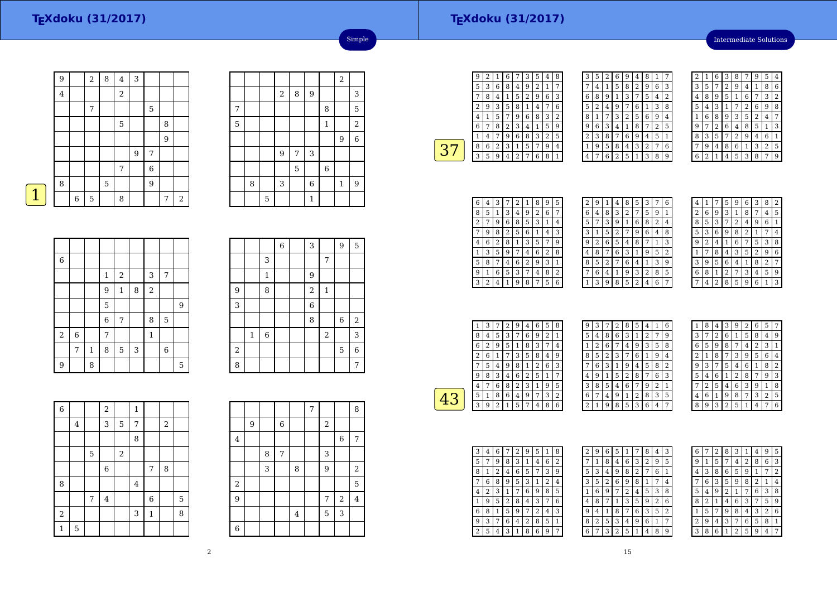## **TEXdoku (31/2017)**

Intermediate Solutions

|   | 9              |   | $\,2$       | 8 | $\bf 4$        | 3 |             |                |                |
|---|----------------|---|-------------|---|----------------|---|-------------|----------------|----------------|
|   | $\overline{4}$ |   |             |   | $\overline{2}$ |   |             |                |                |
|   |                |   | 7           |   |                |   | 5           |                |                |
|   |                |   |             |   | 5              |   |             | 8              |                |
|   |                |   |             |   |                |   |             | $\overline{9}$ |                |
|   |                |   |             |   |                | 9 | 7           |                |                |
|   |                |   |             |   | 7              |   | $\,$ 6 $\,$ |                |                |
|   | 8              |   |             | 5 |                |   | 9           |                |                |
| 1 |                | 6 | $\mathbf 5$ |   | 8              |   |             | 7              | $\overline{2}$ |
|   |                |   |             |   |                |   |             |                |                |

|   |   |   |                  |   |                |                | $\overline{a}$ |                |
|---|---|---|------------------|---|----------------|----------------|----------------|----------------|
|   |   |   | $\boldsymbol{2}$ | 8 | 9              |                |                | 3              |
| 7 |   |   |                  |   |                | 8              |                | 5              |
| 5 |   |   |                  |   |                | $\mathbf{1}$   |                | $\overline{a}$ |
|   |   |   |                  |   |                |                | 9              | $\overline{6}$ |
|   |   |   | 9                | 7 | 3              |                |                |                |
|   |   |   |                  | 5 |                | $\overline{6}$ |                |                |
|   | 8 |   | 3                |   | $\overline{6}$ |                | $\mathbf{1}$   | 9              |
|   |   | 5 |                  |   | $\mathbf{1}$   |                |                |                |

Simple

|  | $\mathcal{L}^{\text{max}}_{\text{max}}$ and $\mathcal{L}^{\text{max}}_{\text{max}}$ and $\mathcal{L}^{\text{max}}_{\text{max}}$ |  |
|--|---------------------------------------------------------------------------------------------------------------------------------|--|
|  |                                                                                                                                 |  |

| 6                |             |             |             |         |   |                |   |   |
|------------------|-------------|-------------|-------------|---------|---|----------------|---|---|
|                  |             |             | $\,1$       | 2       |   | 3              | 7 |   |
|                  |             |             | 9           | $\,1\,$ | 8 | $\overline{a}$ |   |   |
|                  |             |             | $\mathbf 5$ |         |   |                |   | 9 |
|                  |             |             | 6           | 7       |   | 8              | 5 |   |
| $\overline{2}$   | $\,$ 6 $\,$ |             | 7           |         |   | $\,1\,$        |   |   |
|                  | 7           | $\mathbf 1$ | 8           | 5       | 3 |                | 6 |   |
| $\boldsymbol{9}$ |             | 8           |             |         |   |                |   | 5 |

|                |              |                | $\overline{6}$ | 3              |                | 9           | 5           |
|----------------|--------------|----------------|----------------|----------------|----------------|-------------|-------------|
|                |              | 3              |                |                | 7              |             |             |
|                |              | $\mathbf 1$    |                | 9              |                |             |             |
| $\overline{9}$ |              | 8              |                | $\overline{2}$ | $\mathbf{1}$   |             |             |
| 3              |              |                |                | 6              |                |             |             |
|                |              |                |                | 8              |                | $\,$ 6 $\,$ | $\sqrt{2}$  |
|                | $\mathbf{1}$ | $\overline{6}$ |                |                | $\overline{2}$ |             | 3           |
| $\overline{2}$ |              |                |                |                |                | 5           | $\,$ 6 $\,$ |
| 8              |              |                |                |                |                |             | 7           |

| $\overline{6}$ |   |            | $\overline{a}$ |            | $\mathbf{1}$   |                |   |   |
|----------------|---|------------|----------------|------------|----------------|----------------|---|---|
|                | 4 |            | 3              | 5          | 7              |                | 2 |   |
|                |   |            |                |            | 8              |                |   |   |
|                |   | 5          |                | $\sqrt{2}$ |                |                |   |   |
|                |   |            | $\,$ 6 $\,$    |            |                | 7              | 8 |   |
| 8              |   |            |                |            | $\overline{4}$ |                |   |   |
|                |   | $\sqrt{ }$ | $\bf{4}$       |            |                | $\overline{6}$ |   | 5 |
| $\overline{2}$ |   |            |                |            | 3              | $\mathbf 1$    |   | 8 |
| 1              | 5 |            |                |            |                |                |   |   |

|                |   |   |       |                         | 7 |                           |       | 8                       |
|----------------|---|---|-------|-------------------------|---|---------------------------|-------|-------------------------|
|                | 9 |   | $\,6$ |                         |   | $\sqrt{2}$                |       |                         |
| $\overline{4}$ |   |   |       |                         |   |                           | 6     | 7                       |
|                |   | 8 | 7     |                         |   | $\ensuremath{\mathsf{3}}$ |       |                         |
|                |   | 3 |       | 8                       |   | 9                         |       | $\,2$                   |
| $\,2$          |   |   |       |                         |   |                           |       | 5                       |
| $\overline{9}$ |   |   |       |                         |   | 7                         | $\,2$ | $\overline{\mathbf{4}}$ |
|                |   |   |       | $\overline{\mathbf{4}}$ |   | 5                         | 3     |                         |
| $\overline{6}$ |   |   |       |                         |   |                           |       |                         |

| 9 | 2 | 1 | 6 | 7 | З | 5 | 4              | 8 |
|---|---|---|---|---|---|---|----------------|---|
| 5 | 3 | 6 | 8 | 4 | 9 | 2 | 1              | 7 |
|   | 8 | 4 | 1 | 5 | 2 | 9 | 6              | 3 |
| 2 | 9 | 3 | 5 | 8 | 1 | 4 | 7              | 6 |
| 4 | 1 | 5 |   | 9 | 6 | 8 | 3              | 2 |
| 6 | 7 | 8 | 2 | 3 | 4 | 1 | 5              | 9 |
|   | 4 |   | 9 | 6 | 8 | 3 | $\overline{2}$ | 5 |
| 8 | 6 | 2 | 3 | 1 | 5 | 7 | 9              | 4 |
| 3 | 5 | 9 | 4 | 2 | 7 | 6 | 8              | 1 |
|   |   |   |   |   |   |   |                |   |

| 3 | 5 | 2 | 6              | 9 | 4 | 8 | 1 | 7 |
|---|---|---|----------------|---|---|---|---|---|
|   | 4 | 1 | 5              | 8 | 2 | 9 | 6 | 3 |
| 6 | 8 | 9 | 1              | 3 | 7 | 5 | 4 | 2 |
| 5 | 2 | 4 | 9              | 7 | 6 | 1 | 3 | 8 |
| 8 | 1 | 7 | 3              | 2 | 5 | 6 | 9 | 4 |
| 9 | 6 | 3 | 4              | 1 | 8 |   | 2 | 5 |
| 2 | 3 | 8 |                | 6 | 9 | 4 | 5 | 1 |
| 1 | 9 | 5 | 8              | 4 | 3 | 2 | 7 | 6 |
| 4 | 7 | 6 | $\overline{2}$ | 5 | 1 | 3 | 8 | 9 |

| 2 |   | 6 | 3 | 8              |   | g              | 5              | 4 |
|---|---|---|---|----------------|---|----------------|----------------|---|
| 3 | 5 |   | 2 | 9              | 4 | 1              | 8              | 6 |
| 4 | 8 | 9 | 5 | 1              | 6 | 7              | 3              | 2 |
| 5 | 4 | 3 | 1 | 7              | 2 | 6              | 9              | 8 |
| 1 | 6 | 8 | 9 | 3              | 5 | $\overline{2}$ | 4              | 7 |
| 9 | 7 | 2 | 6 | 4              | 8 | 5              | 1              | 3 |
| 8 | 3 | 5 | 7 | $\overline{2}$ | 9 | 4              | 6              | 1 |
| 7 | 9 | 4 | 8 | 6              | 1 | 3              | $\overline{2}$ | 5 |
| 6 | 2 |   | 4 | 5              | 3 | 8              |                | 9 |

| 6 | 4 | З |                | 2 | 1 | 8 | 9 | 5 |
|---|---|---|----------------|---|---|---|---|---|
| 8 | 5 | 1 | 3              | 4 | 9 | 2 | 6 | 7 |
| 2 | 7 | 9 | 6              | 8 | 5 | 3 | 1 | 4 |
| 7 | 9 | 8 | $\overline{c}$ | 5 | 6 | 1 | 4 | 3 |
| 4 | 6 | 2 | 8              | 1 | 3 | 5 | 7 | 9 |
| 1 | 3 | 5 | 9              | 7 | 4 | 6 | 2 | 8 |
| 5 | 8 | 7 | 4              | 6 | 2 | 9 | 3 | 1 |
| 9 | 1 | 6 | 5              | 3 | 7 | 4 | 8 | 2 |
| 3 | 2 | 4 | 1              | 9 | 8 | 7 | 5 | 6 |

| 2 | 9 | 1              | 4              | 8            | 5 | 3              | 7              | 6 |
|---|---|----------------|----------------|--------------|---|----------------|----------------|---|
| 6 | 4 | 8              | 3              | 2            | 7 | 5              | 9              | 1 |
| 5 | 7 | 3              | 9              | $\mathbf{1}$ | 6 | 8              | $\overline{2}$ | 4 |
| 3 | 1 | 5              | $\overline{c}$ | 7            | 9 | 6              | 4              | 8 |
| 9 | 2 | 6              | 5              | 4            | 8 | 7              | 1              | 3 |
| 4 | 8 | 7              | 6              | 3            | 1 | 9              | 5              | 2 |
| 8 | 5 | $\overline{2}$ | 7              | 6            | 4 | 1              | 3              | 9 |
| 7 | 6 | 4              | 1              | 9            | 3 | $\overline{2}$ | 8              | 5 |
|   | 3 | 9              | 8              | 5            | 2 | 4              | 6              | 7 |
|   |   |                |                |              |   |                |                |   |

| 4 | 1 |                | 5 | 9              | 6 | 3              | 8              | 2 |
|---|---|----------------|---|----------------|---|----------------|----------------|---|
| 2 | 6 | 9              | 3 | $\mathbf{1}$   | 8 | 7              | 4              | 5 |
| 8 | 5 | 3              | 7 | $\overline{2}$ | 4 | 9              | 6              | 1 |
| 5 | 3 | 6              | 9 | 8              | 2 | 1              | 7              | 4 |
| 9 | 2 | 4              | 1 | 6              | 7 | 5              | 3              | 8 |
| 1 | 7 | 8              | 4 | 3              | 5 | $\overline{c}$ | 9              | 6 |
| 3 | 9 | 5              | 6 | 4              | 1 | 8              | $\overline{2}$ | 7 |
| 6 | 8 | 1              | 2 | 7              | 3 | 4              | 5              | 9 |
|   | 4 | $\overline{2}$ | 8 | 5              | 9 | 6              | 1              | 3 |

| 1 | 3 | 7 | $\overline{2}$ | 9              | 4 | 6 | 5              | 8              |
|---|---|---|----------------|----------------|---|---|----------------|----------------|
| 8 | 4 | 5 | 3              | 7              | 6 | 9 | $\overline{2}$ | 1              |
| 6 | 2 | 9 | 5              | 1              | 8 | 3 | 7              | 4              |
| 2 | 6 | 1 | 7              | 3              | 5 | 8 | 4              | 9              |
| 7 | 5 | 4 | 9              | 8              | 1 | 2 | 6              | 3              |
| 9 | 8 | 3 | 4              | 6              | 2 | 5 | 1              | 7              |
| 4 |   | 6 | 8              | $\overline{2}$ | 3 | 1 | 9              | 5              |
| 5 | 1 | 8 | 6              | 4              | 9 | 7 | 3              | $\overline{2}$ |
| 3 | 9 | 2 | 1              | 5              | 7 | 4 | 8              | 6              |

| 9              | 3 | 7 | $\overline{2}$ | 8 | 5 | 4 | 1 | 6 |  |
|----------------|---|---|----------------|---|---|---|---|---|--|
| 5              | 4 | 8 | 6              | 3 | 1 | 2 | 7 | 9 |  |
| 1              | 2 | 6 |                | 4 | 9 | 3 | 5 | 8 |  |
| 8              | 5 | 2 | 3              | 7 | 6 | 1 | 9 | 4 |  |
|                | 6 | 3 | 1              | 9 | 4 | 5 | 8 | 2 |  |
| 4              | 9 | 1 | 5              | 2 | 8 | 7 | 6 | 3 |  |
| 3              | 8 | 5 | 4              | 6 | 7 | 9 | 2 | 1 |  |
| 6              | 7 | 4 | 9              | 1 | 2 | 8 | 3 | 5 |  |
| $\overline{2}$ | 1 | 9 | 8              | 5 | 3 | 6 | 4 | 7 |  |

| 1 | 8              | 4 | 3              | 9 | 2 | 6 | 5              |   |
|---|----------------|---|----------------|---|---|---|----------------|---|
| 3 | 7              | 2 | 6              | 1 | 5 | 8 | 4              | 9 |
| 6 | 5              | 9 | 8              | 7 | 4 | 2 | 3              | 1 |
| 2 | 1              | 8 | 7              | 3 | 9 | 5 | 6              | 4 |
| 9 | 3              | 7 | 5              | 4 | 6 | 1 | 8              | 2 |
| 5 | 4              | 6 | 1              | 2 | 8 | 7 | 9              | 3 |
| 7 | $\overline{2}$ | 5 | 4              | 6 | 3 | 9 | 1              | 8 |
| 4 | 6              | 1 | 9              | 8 | 7 | 3 | $\overline{2}$ | 5 |
| 8 | 9              | 3 | $\overline{2}$ | 5 | 1 | 4 | 7              | 6 |

| 3 | 4 | 6 |   | 2 | 9 | 5 |   | 8              |  |
|---|---|---|---|---|---|---|---|----------------|--|
| 5 | 7 | 9 | 8 | 3 |   | 4 | 6 | $\overline{2}$ |  |
| 8 |   | 2 | 4 | 6 | 5 |   | 3 | 9              |  |
|   | 6 | 8 | 9 | 5 | 3 | 1 | 2 | 4              |  |
| 4 | 2 | 3 | 1 | 7 | 6 | 9 | 8 | 5              |  |
|   | g | 5 | 2 | 8 | 4 | 3 | 7 | 6              |  |
| 6 | 8 |   | 5 | 9 |   | 2 | 4 | 3              |  |
| 9 | 3 | 7 | 6 | 4 | 2 | 8 | 5 | 1              |  |
| 2 | 5 | 4 | 3 | 1 | 8 | 6 | 9 | 7              |  |

| 2 | 9 | 6 | 5              | 1 |   | 8              | 4 | 3 |
|---|---|---|----------------|---|---|----------------|---|---|
|   | 1 | 8 | 4              | 6 | 3 | $\overline{2}$ | 9 | 5 |
| 5 | 3 | 4 | 9              | 8 | 2 | 7              | 6 | 1 |
| 3 | 5 | 2 | 6              | 9 | 8 | 1              | 7 | 4 |
| 1 | 6 | 9 | 7              | 2 | 4 | 5              | 3 | 8 |
| 4 | 8 | 7 | 1              | 3 | 5 | 9              | 2 | 6 |
| 9 | 4 | 1 | 8              | 7 | 6 | 3              | 5 | 2 |
| 8 | 2 | 5 | 3              | 4 | 9 | 6              | 1 | 7 |
| 6 | 7 | 3 | $\overline{c}$ | 5 | 1 | 4              | 8 | 9 |

| 6 |                | 2 | 8              | 3 | 1 | 4              | 9              | 5 |
|---|----------------|---|----------------|---|---|----------------|----------------|---|
| 9 | 1              | 5 | 7              | 4 | 2 | 8              | 6              | 3 |
| 4 | 3              | 8 | 6              | 5 | 9 | 1              | 7              | 2 |
|   | 6              | 3 | 5              | 9 | 8 | $\overline{2}$ | 1              | 4 |
| 5 | 4              | 9 | $\overline{2}$ | 1 | 7 | 6              | 3              | 8 |
| 8 | $\overline{2}$ | 1 | 4              | 6 | 3 | 7              | 5              | 9 |
| 1 | 5              | 7 | 9              | 8 | 4 | 3              | $\overline{2}$ | 6 |
| 2 | 9              | 4 | 3              | 7 | 6 | 5              | 8              | 1 |
| 3 | 8              | 6 | 1              | 2 | 5 | 9              | 4              | 7 |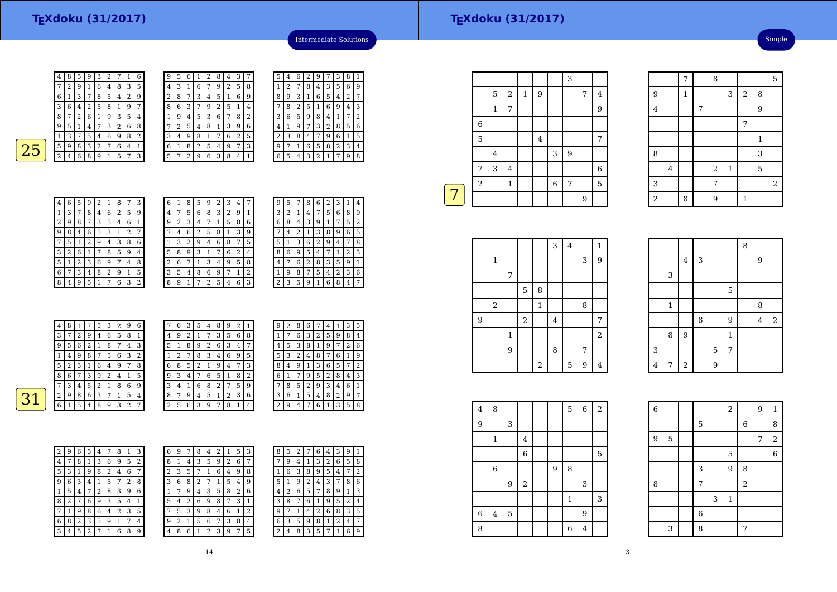| 4 | 8 | 5 | 9 | З | 2 |   |   | 6 |
|---|---|---|---|---|---|---|---|---|
|   | 2 | 9 | 1 | 6 | 4 | 8 | 3 | 5 |
| 6 | 1 | 3 |   | 8 | 5 | 4 | 2 | 9 |
| 3 | 6 | 4 | 2 | 5 | 8 |   | 9 |   |
| 8 | 7 | 2 | 6 | 1 | 9 | 3 | 5 | 4 |
| 9 | 5 | 1 | 4 | 7 | 3 | 2 | 6 | 8 |
| 1 | 3 |   | 5 | 4 | 6 | 9 | 8 | 2 |
| 5 | 9 | 8 | 3 | 2 | 7 | 6 | 4 | 1 |
| 2 | 4 | 6 | 8 | 9 | 1 | 5 | 7 | 3 |
|   |   |   |   |   |   |   |   |   |

| g | 5 | 6 | 1 | 2 | 8 | 4 | 3 |                |
|---|---|---|---|---|---|---|---|----------------|
| 4 | 3 | 1 | 6 | 7 | 9 | 2 | 5 | 8              |
| 2 | 8 | 7 | 3 | 4 | 5 | 1 | 6 | 9              |
| 8 | 6 | 3 | 7 | 9 | 2 | 5 | 1 | 4              |
| 1 | 9 | 4 | 5 | 3 | 6 | 7 | 8 | $\overline{2}$ |
|   | 2 | 5 | 4 | 8 | 1 | 3 | 9 | 6              |
| 3 | 4 | 9 | 8 | 1 |   | 6 | 2 | 5              |
| 6 | 1 | 8 | 2 | 5 | 4 | 9 | 7 | 3              |
| 5 |   | 2 | 9 | 6 | 3 | 8 | 4 | 1              |

| 7                       | 5 | 4 | 6 | 2 | 9 | 7              | З | 8 |   |
|-------------------------|---|---|---|---|---|----------------|---|---|---|
| 3                       | 1 | 2 | 7 | 8 | 4 | 3              | 5 | 6 | 9 |
|                         | 8 | 9 | 3 | 1 | 6 | 5              | 4 | 2 | 7 |
| 1                       |   | 8 | 2 | 5 | 1 | 6              | 9 | 4 | 3 |
| $\overline{\mathbf{r}}$ | 3 | 6 | 5 | 9 | 8 | 4              | 1 | 7 | 2 |
| $\mathbf{5}$            | 4 | 1 | 9 |   | 3 | $\overline{c}$ | 8 | 5 | 6 |
| 5                       | 2 | 3 | 8 | 4 | 7 | 9              | 6 | 1 | 5 |
| 3                       | 9 |   | 1 | 6 | 5 | 8              | 2 | 3 | 4 |
|                         | 6 | 5 | 4 | 3 | 2 |                | 7 | 9 | 8 |
|                         |   |   |   |   |   |                |   |   |   |

Intermediate Solutions

| 4              | 6 | 5 | 9 | $\overline{2}$ | 1 | 8              |   | 3 |
|----------------|---|---|---|----------------|---|----------------|---|---|
| 1              | 3 | 7 | 8 | 4              | 6 | $\overline{2}$ | 5 | 9 |
| $\overline{2}$ | 9 | 8 | 7 | 3              | 5 | 4              | 6 | 1 |
| 9              | 8 | 4 | 6 | 5              | 3 | 1              | 2 | 7 |
| 7              | 5 | 1 | 2 | 9              | 4 | 3              | 8 | 6 |
| 3              | 2 | 6 | 1 | 7              | 8 | 5              | 9 | 4 |
| 5              | 1 | 2 | 3 | 6              | 9 | 7              | 4 | 8 |
| 6              | 7 | 3 | 4 | 8              | 2 | 9              | 1 | 5 |
| 8              | 4 | 9 | 5 | 1              | 7 | 6              | 3 | 2 |

| 6 | 1 | 8 | 5 | 9 | 2 | З | 4            | 7 |
|---|---|---|---|---|---|---|--------------|---|
| 4 | 7 | 5 | 6 | 8 | 3 | 2 | 9            | 1 |
| 9 | 2 | 3 | 4 | 7 | 1 | 5 | 8            | 6 |
|   | 4 | 6 | 2 | 5 | 8 | 1 | 3            | 9 |
| 1 | 3 | 2 | 9 | 4 | 6 | 8 | 7            | 5 |
| 5 | 8 | 9 | 3 | 1 | 7 | 6 | 2            | 4 |
| 2 | 6 | 7 | 1 | 3 | 4 | 9 | 5            | 8 |
| 3 | 5 | 4 | 8 | 6 | 9 | 7 | $\mathbf{1}$ | 2 |
| 8 | 9 | 1 |   | 2 | 5 | 4 | 6            | 3 |

| 9                       | 5 |   | 8              | 6 | 2 | З | 1              | 4 |
|-------------------------|---|---|----------------|---|---|---|----------------|---|
| 3                       | 2 | 1 | 4              | 7 | 5 | 6 | 8              | 9 |
| 6                       | 8 | 4 | 3              | 9 | 1 | 7 | 5              | 2 |
|                         | 4 | 2 | 1              | 3 | 8 | 9 | 6              | 5 |
| 5                       | 1 | 3 | 6              | 2 | 9 | 4 | 7              | 8 |
| 8                       | 6 | 9 | 5              | 4 | 7 | 1 | $\overline{2}$ | 3 |
| 4                       | 7 | 6 | $\overline{2}$ | 8 | 3 | 5 | 9              | 1 |
| 1                       | 9 | 8 | 7              | 5 | 4 | 2 | 3              | 6 |
| $\overline{\mathbf{c}}$ | 3 | 5 | 9              | 1 | 6 | 8 | 4              | 7 |
|                         |   |   |                |   |   |   |                |   |

|                   | 4        | 8 |   | 7 | 5                  | 3 | 2 | 9             | 6              | ⇁                  | 6  | 3 | 5 | 4 | 8              | 9  | 2 |   | 9            | 2 | 8 | 6 | 7 | 4 |                | 3 | 5              |
|-------------------|----------|---|---|---|--------------------|---|---|---------------|----------------|--------------------|----|---|---|---|----------------|----|---|---|--------------|---|---|---|---|---|----------------|---|----------------|
|                   | 3        | 7 | 2 | 9 | 4                  | 6 | 5 | 8             |                | 4                  | 9  | 2 |   | 7 | 3              | 5  | 6 | 8 |              | 7 | 6 |   | 2 | 5 | 9              | 8 | 4              |
|                   | 9        | 5 | 6 | ∍ |                    | 8 | 7 | $\frac{4}{3}$ | 3              | 5                  | л. | 8 | 9 | 2 | 6              | 3  | 4 | 7 | 4            | 5 | 3 | 8 |   | 9 | $\overline{7}$ | 2 | 6              |
|                   |          | 4 | 9 | 8 | 7                  | 5 | 6 | 3             | $\Omega$<br>∠  |                    | 2  | 7 | 8 | 3 | 4              | 6  | 9 | 5 | 5            | 3 | 2 | 4 | 8 | 7 | 6              |   | 9              |
|                   | 5        | 2 | 3 |   | 6                  | 4 | 9 | 7             | 8              | 6                  | 8  | 5 | ∍ |   | 9              | 4  | 7 | 3 | 8            | 4 | 9 |   | 3 | 6 | 5              | 7 | $\overline{2}$ |
|                   | 8        | 6 | ⇁ | 3 | 9                  | 2 | 4 | 1             | 5              | 9                  | 3  | 4 | ⇁ | 6 | 5              | Ŧ. | 8 | 2 | 6            |   | 7 | 9 | 5 | 2 | 8              | 4 | 3              |
|                   | ⇁        | 3 | 4 | 5 | ∍<br>$\mathcal{L}$ |   | 8 | 6             | 9              | 3                  | 4  |   | 6 | 8 | 2              | 7  | 5 | 9 | $\mathbf{r}$ | 8 | 5 |   | 9 | 3 | 4              | 6 | 1              |
| $\mathbf{\Omega}$ | $\Omega$ | 9 | 8 | 6 | 3                  | ⇁ |   | 5             | 4              | 8                  | 7  | 9 | 4 | 5 |                | 2  | 3 | 6 | 3            | 6 |   | 5 | 4 | 8 | 2              | 9 | 7              |
|                   | 6        | 1 | 5 | 4 | 8                  | 9 | 3 | 2             | $\overline{ }$ | $\mathcal{L}$<br>∠ | 5  | 6 | 3 | 9 | $\overline{7}$ | 8  | 1 | 4 | 2            | 9 | 4 | ⇁ | 6 |   | 3              | 5 | 8              |
|                   |          |   |   |   |                    |   |   |               |                |                    |    |   |   |   |                |    |   |   |              |   |   |   |   |   |                |   |                |

| 3<br>6<br>5<br>2<br>9<br>8<br>8<br>4<br>1<br>4<br>7<br>1<br>3<br>8<br>6<br>5<br>3<br>5<br>9<br>2<br>2<br>1<br>7<br>4<br>3<br>6<br>2<br>8<br>3<br>9<br>5<br>8<br>6<br>1<br>7<br>4 | 8            |
|----------------------------------------------------------------------------------------------------------------------------------------------------------------------------------|--------------|
|                                                                                                                                                                                  | 3            |
|                                                                                                                                                                                  | 7            |
|                                                                                                                                                                                  | 2            |
| 2<br>6<br>5<br>8<br>3<br>1<br>9<br>9<br>4<br>1<br>7                                                                                                                              | 4            |
| 3<br>2<br>8<br>6<br>9<br>5<br>5<br>2<br>7<br>4<br>1<br>4                                                                                                                         | 6            |
| 3<br>5<br>6<br>3<br>5<br>8<br>9<br>2<br>7<br>7<br>4<br>1                                                                                                                         | g            |
| 3<br>5<br>9<br>6<br>8<br>2<br>9<br>2<br>1<br>7<br>4<br>1                                                                                                                         | 5            |
| 3<br>5<br>2<br>6<br>6<br>7<br>8<br>9<br>8<br>1<br>4<br>4                                                                                                                         | $\mathbf{1}$ |

| 6 | 9 | 7 | 8 | 4 | 2 |   | 5 | 3 | 8 | 5      | ∠ |        | 6 | 4 | 3 | 9 | 1 |
|---|---|---|---|---|---|---|---|---|---|--------|---|--------|---|---|---|---|---|
| 8 | 1 | 4 | 3 | 5 | 9 | 2 | 6 | 7 | 7 | 9      | 4 | 1      | 3 | 2 | 6 | 5 | 8 |
| 2 | 3 | 5 | 7 | 1 | 6 | 4 | 9 | 8 |   | 6      | 3 | 8      | 9 | 5 | 4 | 7 | 2 |
| 3 | 6 | 8 | 2 | 7 |   | 5 | 4 | 9 | 5 |        | 9 | า<br>∠ | 4 | 3 |   | 8 | 6 |
| 1 | 7 | 9 | 4 | 3 | 5 | 8 | 2 | 6 | 4 | ∍<br>∠ | 6 | 5      | 7 | 8 | 9 | 1 | 3 |
| 5 | 4 | 2 | 6 | 9 | 8 | 7 | 3 | 1 | 3 | 8      | 7 | 6      | 1 | 9 | 5 | 2 | 4 |
| 7 | 5 | 3 | 9 | 8 | 4 | 6 | 1 | 2 | 9 | ¬      |   | 4      | 2 | 6 | 8 | 3 | 5 |
| 9 | 2 | 1 | 5 | 6 | 7 | 3 | 8 | 4 | 6 | 3      | 5 | 9      | 8 | 1 | 2 | 4 | 7 |
| 4 | 8 | 6 |   | 2 | 3 | 9 | 7 | 5 | ∍ | 4      | 8 | 3      | 5 | 7 | 1 | 6 | 9 |
|   |   |   |   |   |   |   |   |   |   |        |   |        |   |   |   |   |   |

14

|   |                  |                |              |              |                |        | 3 |            |                |
|---|------------------|----------------|--------------|--------------|----------------|--------|---|------------|----------------|
|   |                  | 5              | $\sqrt{2}$   | $\mathbf{1}$ | 9              |        |   | $\sqrt{ }$ | $\overline{4}$ |
|   |                  | $\mathbf 1$    | 7            |              |                |        |   |            | $\overline{9}$ |
|   | $\,$ 6 $\,$      |                |              |              |                |        |   |            |                |
|   | 5                |                |              |              | $\overline{4}$ |        |   |            | 7              |
|   |                  | $\overline{4}$ |              |              |                | 3      | 9 |            |                |
|   | 7                | 3              | $\bf 4$      |              |                |        |   |            | $\,$ 6 $\,$    |
|   | $\boldsymbol{2}$ |                | $\mathbf{1}$ |              |                | $\,$ 6 | 7 |            | 5              |
| 7 |                  |                |              |              |                |        |   | 9          |                |
|   |                  |                |              |              |                |        |   |            |                |

|                  |             |              |       |              | 3       | $\bf 4$ |                | $\mathbf{1}$   |
|------------------|-------------|--------------|-------|--------------|---------|---------|----------------|----------------|
|                  | $\mathbf 1$ |              |       |              |         |         | 3              | 9              |
|                  |             | 7            |       |              |         |         |                |                |
|                  |             |              | 5     | 8            |         |         |                |                |
|                  | $\sqrt{2}$  |              |       | $\mathbf{1}$ |         |         | 8              |                |
| $\boldsymbol{9}$ |             |              | $\,2$ |              | $\bf 4$ |         |                | 7              |
|                  |             | $\mathbf{1}$ |       |              |         |         |                | $\overline{2}$ |
|                  |             | 9            |       |              | 8       |         | $\overline{7}$ |                |
|                  |             |              |       | $\,2$        |         | 5       | 9              | $\overline{4}$ |

| $\overline{4}$ | 8       |             |            |   | 5           | $\,$ 6 $\,$ | $\sqrt{2}$ |  |
|----------------|---------|-------------|------------|---|-------------|-------------|------------|--|
| 9              |         | 3           |            |   |             |             |            |  |
|                | 1       |             | 4          |   |             |             |            |  |
|                |         |             | 6          |   |             |             | 5          |  |
|                | 6       |             |            | 9 | 8           |             |            |  |
|                |         | 9           | $\sqrt{2}$ |   |             | 3           |            |  |
|                |         |             |            |   | $\mathbf 1$ |             | 3          |  |
| $\,$ 6 $\,$    | $\bf 4$ | $\mathbf 5$ |            |   |             | 9           |            |  |
| 8              |         |             |            |   | 6           | 4           |            |  |

|                |         |                |   |   |              | 8 |                |       |
|----------------|---------|----------------|---|---|--------------|---|----------------|-------|
|                |         | $\overline{4}$ | 3 |   |              |   | 9              |       |
|                | 3       |                |   |   |              |   |                |       |
|                |         |                |   |   | 5            |   |                |       |
|                | $\,1\,$ |                |   |   |              |   | 8              |       |
|                |         |                | 8 |   | 9            |   | $\overline{4}$ | $\,2$ |
|                | 8       | 9              |   |   | $\mathbf{1}$ |   |                |       |
| 3              |         |                |   | 5 | 7            |   |                |       |
| $\overline{4}$ | 7       | $\,2$          |   | 9 |              |   |                |       |

7

 $\frac{9}{1}$  1

4

 $\frac{3}{2}$  |  $\frac{7}{2}$ 

4

8

3

2

| $\,6$       |   |   |   | $\boldsymbol{2}$ |                  | 9 | $\mathbf{1}$   |
|-------------|---|---|---|------------------|------------------|---|----------------|
|             |   | 5 |   |                  | $\boldsymbol{6}$ |   | 8              |
| 9           | 5 |   |   |                  |                  | 7 | $\sqrt{2}$     |
|             |   |   |   | 5                |                  |   | $\overline{6}$ |
|             |   | 3 |   | 9                | 8                |   |                |
| $\,$ 8 $\,$ |   | 7 |   |                  | $\overline{a}$   |   |                |
|             |   |   | 3 | $\mathbf 1$      |                  |   |                |
|             |   | 6 |   |                  |                  |   |                |
|             | 3 | 8 |   |                  | 7                |   |                |

<sup>8</sup> <sup>5</sup>

7

 $\begin{array}{|c|c|c|c|c|}\n\hline\n7 & 2 \\
\hline\n\end{array}$ 

1 $\overline{3}$ 

1 3 2 8

4 7 9

 $\begin{array}{|c|c|c|c|c|c|c|c|c|}\n\hline\n3 & 3 & 3 \\
\hline\n\end{array}$ 

 $2 \mid 8 \mid 9 \mid 1$ 

 $\frac{4}{2}$   $\frac{2}{1}$   $\frac{5}{5}$ 

Simple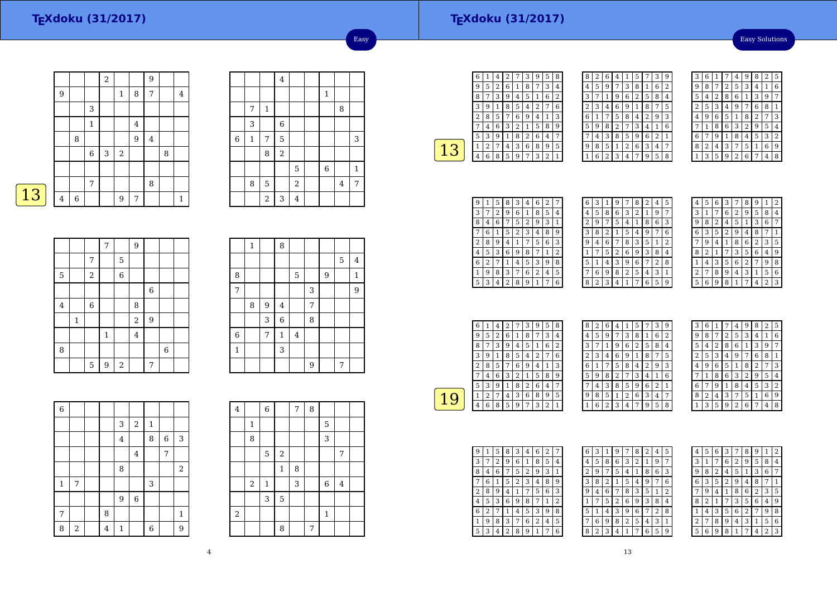## **TEXdoku (31/2017)**

Easy Solutions

|                |   |              | $\sqrt{2}$ |                |         | 9          |   |              |
|----------------|---|--------------|------------|----------------|---------|------------|---|--------------|
| 9              |   |              |            | $\mathbf{1}$   | 8       | $\sqrt{ }$ |   | 4            |
|                |   | 3            |            |                |         |            |   |              |
|                |   | $\mathbf{1}$ |            |                | $\bf 4$ |            |   |              |
|                | 8 |              |            |                | $9\,$   | $\bf 4$    |   |              |
|                |   | $\,$ 6 $\,$  | 3          | $\overline{2}$ |         |            | 8 |              |
|                |   |              |            |                |         |            |   |              |
|                |   | 7            |            |                |         | 8          |   |              |
| $\overline{4}$ | 6 |              |            | 9              | 7       |            |   | $\mathbf{1}$ |
|                |   |              |            |                |         |            |   |              |

|             |              |                | $\bf 4$        |                |                |                |              |
|-------------|--------------|----------------|----------------|----------------|----------------|----------------|--------------|
|             |              |                |                |                | $\mathbf{1}$   |                |              |
|             | 7            | $\mathbf 1$    |                |                |                | 8              |              |
|             | 3            |                | $\overline{6}$ |                |                |                |              |
| $\,$ 6 $\,$ | $\mathbf{1}$ | 7              | 5              |                |                |                | 3            |
|             |              | 8              | $\overline{a}$ |                |                |                |              |
|             |              |                |                | 5              | $\overline{6}$ |                | $\mathbf{1}$ |
|             | 8            | 5              |                | $\sqrt{2}$     |                | $\overline{4}$ | 7            |
|             |              | $\overline{a}$ | 3              | $\overline{4}$ |                |                |              |

Easy

|--|

|                |             |            | 7            |             | $\overline{9}$ |                |             |  |
|----------------|-------------|------------|--------------|-------------|----------------|----------------|-------------|--|
|                |             | 7          |              | $\mathbf 5$ |                |                |             |  |
| 5              |             | $\sqrt{2}$ |              | $\,$ 6 $\,$ |                |                |             |  |
|                |             |            |              |             |                | $\,$ 6 $\,$    |             |  |
| $\overline{4}$ |             | $\,6\,$    |              |             | 8              |                |             |  |
|                | $\mathbf 1$ |            |              |             | $\overline{2}$ | $\overline{9}$ |             |  |
|                |             |            | $\mathbf{1}$ |             | $\overline{4}$ |                |             |  |
| 8              |             |            |              |             |                |                | $\,$ 6 $\,$ |  |
|                |             | 5          | 9            | $\,2$       |                | 7              |             |  |

|                | $\mathbf{1}$ |   | 8                       |                         |   |   |   |              |
|----------------|--------------|---|-------------------------|-------------------------|---|---|---|--------------|
|                |              |   |                         |                         |   |   | 5 | $\bf 4$      |
| 8              |              |   |                         | 5                       |   | 9 |   | $\mathbf{1}$ |
| 7              |              |   |                         |                         | 3 |   |   | 9            |
|                | 8            | 9 | $\overline{\mathbf{4}}$ |                         | 7 |   |   |              |
|                |              | 3 | 6                       |                         | 8 |   |   |              |
| $\overline{6}$ |              | 7 | $\mathbf{1}$            | $\overline{\mathbf{4}}$ |   |   |   |              |
| $\mathbf{1}$   |              |   | 3                       |                         |   |   |   |              |
|                |              |   |                         |                         | 9 |   | 7 |              |

| $\overline{6}$ |   |   |                |                |                |   |                |
|----------------|---|---|----------------|----------------|----------------|---|----------------|
|                |   |   | 3              | $\,2$          | $\mathbf{1}$   |   |                |
|                |   |   | $\overline{4}$ |                | 8              | 6 | 3              |
|                |   |   |                | $\overline{4}$ |                | 7 |                |
|                |   |   | 8              |                |                |   | $\overline{2}$ |
| $\,1\,$        | 7 |   |                |                | 3              |   |                |
|                |   |   | 9              | $\overline{6}$ |                |   |                |
| 7              |   | 8 |                |                |                |   | $\mathbf{1}$   |
| 8              | 2 | 4 | 1              |                | $\overline{6}$ |   | 9              |

| 4              |       | 6           |                | 7 | 8 |              |         |  |
|----------------|-------|-------------|----------------|---|---|--------------|---------|--|
|                | 1     |             |                |   |   | 5            |         |  |
|                | 8     |             |                |   |   | 3            |         |  |
|                |       | $\mathbf 5$ | $\sqrt{2}$     |   |   |              | 7       |  |
|                |       |             | $1\,$          | 8 |   |              |         |  |
|                | $\,2$ | $\mathbf 1$ |                | 3 |   | $\,$ 6 $\,$  | $\bf 4$ |  |
|                |       | 3           | $\overline{5}$ |   |   |              |         |  |
| $\overline{2}$ |       |             |                |   |   | $\mathbf{1}$ |         |  |
|                |       |             | 8              |   | 7 |              |         |  |

| 6 | 1 | 4 | 2 | 7              | 3 | 9 | 5              | 8              |
|---|---|---|---|----------------|---|---|----------------|----------------|
| 9 | 5 | 2 | 6 | 1              | 8 | 7 | 3              | 4              |
| 8 | 7 | 3 | 9 | 4              | 5 | 1 | 6              | $\overline{2}$ |
| 3 | 9 | 1 | 8 | 5              | 4 | 2 | 7              | 6              |
| 2 | 8 | 5 | 7 | 6              | 9 | 4 | 1              | 3              |
| 7 | 4 | 6 | 3 | $\overline{2}$ | 1 | 5 | 8              | 9              |
| 5 | 3 | 9 | 1 | 8              | 2 | 6 | 4              | 7              |
| 1 | 2 | 7 | 4 | 3              | 6 | 8 | 9              | 5              |
| 4 | 6 | 8 | 5 | 9              | 7 | 3 | $\overline{2}$ | 1              |
|   |   |   |   |                |   |   |                |                |

| 8 | 2 | 6              | 4 | 1              | 5 |   | 3              | 9 |
|---|---|----------------|---|----------------|---|---|----------------|---|
| 4 | 5 | 9              | 7 | 3              | 8 | 1 | 6              | 2 |
| 3 | 7 | 1              | 9 | 6              | 2 | 5 | 8              | 4 |
| 2 | 3 | 4              | 6 | 9              | 1 | 8 | 7              | 5 |
| 6 | 1 | 7              | 5 | 8              | 4 | 2 | 9              | 3 |
| 5 | 9 | 8              | 2 | 7              | 3 | 4 | 1              | 6 |
|   | 4 | 3              | 8 | 5              | 9 | 6 | $\overline{2}$ | 1 |
| 9 | 8 | 5              | 1 | $\overline{2}$ | 6 | 3 | 4              | 7 |
|   | 6 | $\overline{2}$ | 3 | 4              | 7 | 9 | 5              | 8 |

| 3              | 6 | 1 |                | 4 | 9 | 8              | $\overline{2}$ | 5 |
|----------------|---|---|----------------|---|---|----------------|----------------|---|
| g              | 8 |   | $\overline{c}$ | 5 | 3 | 4              | 1              | 6 |
| 5              | 4 | 2 | 8              | 6 | 1 | 3              | 9              | 7 |
| $\overline{c}$ | 5 | 3 | 4              | 9 |   | 6              | 8              | 1 |
| 4              | 9 | 6 | 5              | 1 | 8 | $\overline{2}$ | 7              | 3 |
|                | 1 | 8 | 6              | 3 | 2 | 9              | 5              | 4 |
| 6              | 7 | g | 1              | 8 | 4 | 5              | 3              | 2 |
| 8              | 2 | 4 | 3              | 7 | 5 | 1              | 6              | 9 |
|                | 3 | 5 | 9              | 2 | 6 |                | 4              | 8 |

| 9 | 1 | 5 | 8 | З | 4              | 6 | 2 | 7 |
|---|---|---|---|---|----------------|---|---|---|
| 3 | 7 | 2 | 9 | 6 | 1              | 8 | 5 | 4 |
| 8 | 4 | 6 | 7 | 5 | $\overline{2}$ | 9 | 3 | 1 |
|   | 6 | 1 | 5 | 2 | 3              | 4 | 8 | 9 |
| 2 | 8 | 9 | 4 | 1 | 7              | 5 | 6 | 3 |
| 4 | 5 | 3 | 6 | 9 | 8              |   | 1 | 2 |
| 6 | 2 |   | 1 | 4 | 5              | 3 | 9 | 8 |
| 1 | 9 | 8 | 3 | 7 | 6              | 2 | 4 | 5 |
| 5 | 3 | 4 | 2 | 8 | 9              | 1 | 7 | 6 |

| 6 | 3 | 1 | 9 | 7           | 8 | 2 | 4 | 5 |
|---|---|---|---|-------------|---|---|---|---|
| 4 | 5 | 8 | 6 | 3           | 2 | 1 | 9 | 7 |
| 2 | 9 | 7 | 5 | 4           | 1 | 8 | 6 | 3 |
| 3 | 8 | 2 | 1 | 5           | 4 | 9 | 7 | 6 |
| 9 | 4 | 6 | 7 | 8           | 3 | 5 | 1 | 2 |
| 1 | 7 | 5 | 2 | 6           | 9 | 3 | 8 | 4 |
| 5 | 1 | 4 | 3 | 9           | 6 | 7 | 2 | 8 |
| 7 | 6 | 9 | 8 | 2           | 5 | 4 | 3 | 1 |
| 8 | 2 | 3 | 4 | $\mathbf 1$ | 7 | 6 | 5 | 9 |
|   |   |   |   |             |   |   |   |   |

| 4 | 5 | 6 |   |   | 8 |                |   | $\overline{2}$ |
|---|---|---|---|---|---|----------------|---|----------------|
| 3 | 1 | 7 | 6 | 2 | 9 | 5              | 8 | 4              |
| g | 8 | 2 | 4 | 5 | 1 | 3              | 6 | 7              |
| 6 | 3 | 5 | 2 | 9 | 4 | 8              | 7 | 1              |
| 7 | 9 | 4 | 1 | 8 | 6 | $\overline{2}$ | 3 | 5              |
| 8 | 2 | 1 | 7 | 3 | 5 | 6              | 4 | 9              |
| 1 | 4 | 3 | 5 | 6 | 2 | 7              | 9 | 8              |
| 2 | 7 | 8 | 9 | 4 | 3 | 1              | 5 | 6              |
| 5 | 6 | q | 8 | 1 |   | 4              | 2 | 3              |

| 6 | 1 | 4 | $\overline{c}$ | 7 | 3 | 9 | 5 | 8 |
|---|---|---|----------------|---|---|---|---|---|
| 9 | 5 | 2 | 6              | 1 | 8 | 7 | 3 | 4 |
| 8 | 7 | 3 | 9              | 4 | 5 | 1 | 6 | 2 |
| 3 | 9 |   | 8              | 5 | 4 | 2 | 7 | 6 |
| 2 | 8 | 5 | 7              | 6 | 9 | 4 | 1 | 3 |
|   | 4 | 6 | 3              | 2 | 1 | 5 | 8 | 9 |
| 5 | 3 | 9 | 1              | 8 | 2 | 6 | 4 |   |
| 1 | 2 | 7 | 4              | 3 | 6 | 8 | 9 | 5 |
| 4 | 6 | 8 | 5              | 9 | 7 | 3 | 2 | 1 |
|   |   |   |                |   |   |   |   |   |

| 8 | 2            | 6 | 4              | 1 | 5 | 7 | 3 | 9 |  |
|---|--------------|---|----------------|---|---|---|---|---|--|
| 4 | 5            | 9 | 7              | 3 | 8 | 1 | 6 | 2 |  |
| 3 | 7            | 1 | 9              | 6 | 2 | 5 | 8 | 4 |  |
| 2 | 3            | 4 | 6              | 9 | 1 | 8 | 7 | 5 |  |
| 6 | $\mathbf{1}$ | 7 | 5              | 8 | 4 | 2 | 9 | 3 |  |
| 5 | 9            | 8 | $\overline{2}$ | 7 | 3 | 4 | 1 | 6 |  |
|   | 4            | 3 | 8              | 5 | 9 | 6 | 2 | 1 |  |
| 9 | 8            | 5 | 1              | 2 | 6 | 3 | 4 | 7 |  |
|   | 6            | 2 | 3              | 4 | 7 | 9 | 5 | 8 |  |

| 3 | 6 | 1              |                | 4              | 9              | 8              | 2 | 5 |
|---|---|----------------|----------------|----------------|----------------|----------------|---|---|
| 9 | 8 | 7              | $\overline{2}$ | 5              | 3              | 4              | 1 | 6 |
| 5 | 4 | $\overline{2}$ | 8              | 6              | $\mathbf 1$    | 3              | 9 | 7 |
| 2 | 5 | 3              | 4              | 9              | 7              | 6              | 8 | 1 |
| 4 | 9 | 6              | 5              | 1              | 8              | $\overline{2}$ | 7 | 3 |
| 7 | 1 | 8              | 6              | 3              | $\overline{2}$ | 9              | 5 | 4 |
| 6 | 7 | 9              | 1              | 8              | 4              | 5              | 3 | 2 |
| 8 | 2 | 4              | 3              | 7              | 5              | $\mathbf{1}$   | 6 | 9 |
| 1 | 3 | 5              | 9              | $\overline{2}$ | 6              | 7              | 4 | 8 |

| 9 | 1 | 5 | 8 | 3 | 4 | 6 | $\overline{2}$ |   |
|---|---|---|---|---|---|---|----------------|---|
| 3 | 7 | 2 | 9 | 6 | 1 | 8 | 5              | 4 |
| 8 | 4 | 6 | 7 | 5 | 2 | 9 | 3              | 1 |
| 7 | 6 | 1 | 5 | 2 | 3 | 4 | 8              | 9 |
| 2 | 8 | 9 | 4 | 1 | 7 | 5 | 6              | 3 |
| 4 | 5 | 3 | 6 | 9 | 8 |   | 1              | 2 |
| 6 | 2 | 7 | 1 | 4 | 5 | 3 | 9              | 8 |
| 1 | 9 | 8 | 3 | 7 | 6 | 2 | 4              | 5 |
| 5 | 3 | 4 | 2 | 8 | 9 | 1 | 7              | 6 |

| 6 | 3 | 1 | 9              | 7              | 8           | 2 | 4 | 5              |
|---|---|---|----------------|----------------|-------------|---|---|----------------|
| 4 | 5 | 8 | 6              | 3              | 2           | 1 | 9 | 7              |
| 2 | 9 | 7 | 5              | 4              | $\mathbf 1$ | 8 | 6 | 3              |
| 3 | 8 | 2 | 1              | 5              | 4           | 9 | 7 | 6              |
| 9 | 4 | 6 | 7              | 8              | 3           | 5 | 1 | $\overline{2}$ |
| 1 | 7 | 5 | $\overline{2}$ | 6              | 9           | 3 | 8 | 4              |
| 5 | 1 | 4 | 3              | 9              | 6           | 7 | 2 | 8              |
| 7 | 6 | 9 | 8              | $\overline{2}$ | 5           | 4 | 3 | 1              |
| 8 | 2 | 3 | 4              | 1              | 7           | 6 | 5 | 9              |

| 4              | 5 | 6 | 3              |   | 8 | 9              | 1              | 2 |
|----------------|---|---|----------------|---|---|----------------|----------------|---|
| 3              | 1 | 7 | 6              | 2 | 9 | 5              | 8              | 4 |
| g              | 8 | 2 | 4              | 5 | 1 | 3              | 6              | 7 |
| 6              | 3 | 5 | $\overline{2}$ | 9 | 4 | 8              | 7              | 1 |
| 7              | 9 | 4 | 1              | 8 | 6 | $\overline{2}$ | 3              | 5 |
| 8              | 2 | 1 | 7              | 3 | 5 | 6              | 4              | 9 |
| 1              | 4 | 3 | 5              | 6 | 2 | 7              | 9              | 8 |
| $\overline{c}$ | 7 | 8 | 9              | 4 | 3 | 1              | 5              | 6 |
| 5              | 6 | 9 | 8              | 1 | 7 | 4              | $\overline{2}$ | 3 |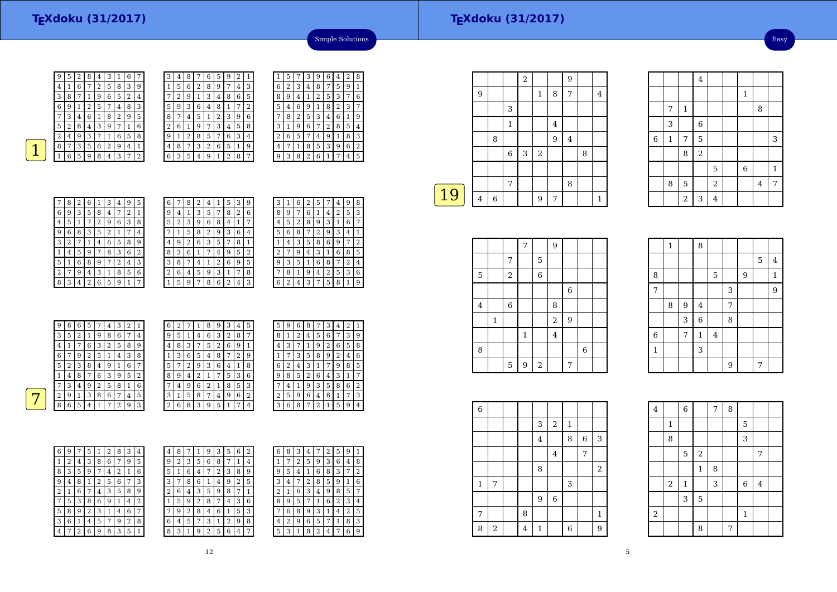Easy

1

 $\begin{array}{|c|c|c|c|c|}\n\hline\n5 & 6 & 1\n\end{array}$ 



| 3 | 4 | 8 |                | 6 | 5 | 9              | 2 | 1 |
|---|---|---|----------------|---|---|----------------|---|---|
| 1 | 5 | 6 | 2              | 8 | 9 | 7              | 4 | 3 |
|   | 2 | 9 | 1              | 3 | 4 | 8              | 6 | 5 |
| 5 | 9 | 3 | 6              | 4 | 8 | 1              | 7 | 2 |
| 8 | 7 | 4 | 5              | 1 | 2 | 3              | 9 | 6 |
| 2 | 6 | 1 | 9              | 7 | 3 | 4              | 5 | 8 |
| 9 | 1 | 2 | 8              | 5 | 7 | 6              | 3 | 4 |
| 4 | 8 | 7 | 3              | 2 | 6 | 5              | 1 | 9 |
| 6 | 3 | 5 | $\overline{4}$ | 9 | 1 | $\overline{2}$ | 8 | 7 |

|   |   | 5 |   | 3              | 9 | 6              | 4 | 2            | 8 |
|---|---|---|---|----------------|---|----------------|---|--------------|---|
| ξ | 6 | 2 | 3 | 4              | 8 | 7              | 5 | 9            |   |
| ; | 8 | 9 | 4 | 1              | 2 | 5              | 3 | 7            | 6 |
| ú | 5 | 4 | 6 | 9              | 1 | 8              | 2 | 3            | 7 |
| ì |   | 8 | 2 | 5              | 3 | 4              | 6 | $\mathbf{1}$ | 9 |
| ξ | 3 | 1 | 9 | 6              | 7 | $\overline{c}$ | 8 | 5            | 4 |
| Ł | 2 | 6 | 5 |                | 4 | 9              | 1 | 8            | 3 |
|   | 4 |   | 1 | 8              | 5 | 3              | 9 | 6            | 2 |
|   | 9 | 3 | 8 | $\overline{2}$ | 6 |                | 7 | 4            | 5 |
|   |   |   |   |                |   |                |   |              |   |

Simple Solutions

| 7            | 8 | $\overline{2}$ | 6              | 1 | 3 | 4              | 9 | 5              |
|--------------|---|----------------|----------------|---|---|----------------|---|----------------|
| 6            | 9 | 3              | 5              | 8 | 4 | 7              | 2 | 1              |
| 4            | 5 | 1              | 7              | 2 | 9 | 6              | 3 | 8              |
| 9            | 6 | 8              | 3              | 5 | 2 | 1              |   | 4              |
| 3            | 2 | 7              | 1              | 4 | 6 | 5              | 8 | 9              |
| $\mathbf{1}$ | 4 | 5              | 9              | 7 | 8 | 3              | 6 | $\overline{2}$ |
| 5            | 1 | 6              | 8              | 9 | 7 | $\overline{2}$ | 4 | 3              |
| 2            | 7 | 9              | 4              | 3 | 1 | 8              | 5 | 6              |
| 8            | 3 | 4              | $\overline{2}$ | 6 | 5 | 9              | 1 |                |

| 6            | 7 | 8 | 2 | 4 | 1 | 5 | З | 9 |
|--------------|---|---|---|---|---|---|---|---|
| 9            | 4 | 1 | 3 | 5 | 7 | 8 | 2 | 6 |
| 5            | 2 | 3 | 9 | 6 | 8 | 4 | 1 | 7 |
| 7            | 1 | 5 | 8 | 2 | 9 | 3 | 6 | 4 |
| 4            | 9 | 2 | 6 | 3 | 5 | 7 | 8 | 1 |
| 8            | 3 | 6 | 1 | 7 | 4 | 9 | 5 | 2 |
| 3            | 8 | 7 | 4 | 1 | 2 | 6 | 9 | 5 |
| 2            | 6 | 4 | 5 | 9 | 3 | 1 | 7 | 8 |
| $\mathbf{1}$ | 5 | 9 | 7 | 8 | 6 | 2 | 4 | 3 |

| З | 1 | 6 | 2 | 5              | 7 | 4 | 9              | 8 |
|---|---|---|---|----------------|---|---|----------------|---|
| 8 | 9 | 7 | 6 | 1              | 4 | 2 | 5              | 3 |
| 4 | 5 | 2 | 8 | 9              | 3 | 1 | 6              | 7 |
| 5 | 6 | 8 | 7 | $\overline{c}$ | 9 | 3 | 4              | 1 |
|   | 4 | 3 | 5 | 8              | 6 | 9 | 7              | 2 |
| 2 | 7 | 9 | 4 | 3              | 1 | 6 | 8              | 5 |
| 9 | 3 | 5 | 1 | 6              | 8 | 7 | $\overline{2}$ | 4 |
|   | 8 | 1 | 9 | 4              | 2 | 5 | 3              | 6 |
| 6 | 2 | 4 | 3 | 7              | 5 | 8 | $\mathbf{1}$   | 9 |
|   |   |   |   |                |   |   |                |   |

| 9 | 8              | 6 | 5 | 7              | 4              | 3 | 2 |   | 6 | 2 | 7 | 1 | 8              | 9 | 3 | 4 | 5 | 5 | 9 | 6              | 8 |
|---|----------------|---|---|----------------|----------------|---|---|---|---|---|---|---|----------------|---|---|---|---|---|---|----------------|---|
| 3 | 5              | 2 |   | 9              | 8              | 6 | 7 | 4 | 9 | 5 | 1 | 4 | 6              | 3 | 2 | 8 | 7 | 8 | 1 | 2              | 4 |
| 4 | 1              | 7 | 6 | 3              | 2              | 5 | 8 | 9 | 4 | 8 | 3 | 7 | 5              | 2 | 6 | 9 | 1 | 4 | 3 | 7              |   |
| 6 | 7              | 9 | 2 | 5              |                | 4 | 3 | 8 |   | 3 | 6 | 5 | $\overline{4}$ | 8 | 7 | 2 | 9 |   | 7 | 3              | 5 |
| 5 | $\overline{2}$ | 3 | 8 | $\overline{4}$ | 9              |   | 6 | 7 | 5 | 7 | 2 | 9 | 3              | 6 | 4 | 1 | 8 | 6 | 2 | $\overline{4}$ | 3 |
|   | 4              | 8 | 7 | 6              | 3              | 9 | 5 | 2 | 8 | 9 | 4 | ∍ |                | 7 | 5 | 3 | 6 | 9 | 8 | 5              | 2 |
| ⇁ | 3              | 4 | 9 | 2              | 5              | 8 | 1 | 6 | 7 | 4 | 9 | 6 | 2              | 1 | 8 | 5 | 3 | 7 | 4 |                | 9 |
| 2 | 9              |   | 3 | 8              | 6              | 7 | 4 | 5 | 3 | 1 | 5 | 8 | 7              | 4 | 9 | 6 | 2 | 2 | 5 | 9              | 6 |
| 8 | 6              | 5 | 4 | 1              | $\overline{7}$ | ∍ | 9 | 3 | 2 | 6 | 8 | 3 | 9              | 5 | 1 | 7 | 4 | 3 | 6 | 8              | 7 |

| 5 | 9 | 6 | 8            | 7              | 3              | 4 | $\overline{2}$ | 1 |
|---|---|---|--------------|----------------|----------------|---|----------------|---|
| 8 | 1 | 2 | 4            | 5              | 6              | 7 | 3              | 9 |
| 4 | 3 | 7 | $\mathbf{1}$ | 9              | $\overline{c}$ | 6 | 5              | 8 |
| 1 | 7 | 3 | 5            | 8              | 9              | 2 | 4              | 6 |
| 6 | 2 | 4 | 3            | 1              | 7              | 9 | 8              | 5 |
| 9 | 8 | 5 | 2            | 6              | 4              | 3 | 1              | 7 |
|   | 4 | 1 | 9            | 3              | 5              | 8 | 6              | 2 |
| 2 | 5 | 9 | 6            | 4              | 8              | 1 | 7              | 3 |
| 3 | 6 | 8 | 7            | $\overline{2}$ | 1              | 5 | 9              | 4 |

| 6 | 9 | 7              | 5              | 1 | 2 | 8 | 3 | 4 |  |
|---|---|----------------|----------------|---|---|---|---|---|--|
| 1 | 2 | 4              | 3              | 8 | 6 | 7 | 9 | 5 |  |
| 8 | 3 | 5              | 9              | 7 | 4 | 2 | 1 | 6 |  |
| 9 | 4 | 8              | 1              | 2 | 5 | 6 | 7 | 3 |  |
| 2 | 1 | 6              | 7              | 4 | 3 | 5 | 8 | 9 |  |
| 7 | 5 | 3              | 8              | 6 | 9 | 1 | 4 | 2 |  |
| 5 | 8 | 9              | $\overline{c}$ | 3 | 1 | 4 | 6 | 7 |  |
| 3 | 6 | 1              | 4              | 5 | 7 | 9 | 2 | 8 |  |
| 4 | 7 | $\overline{c}$ | 6              | 9 | 8 | 3 | 5 | 1 |  |

| 4 | 8 |                |   | 9      | 3 | 5 | 6 | 2 | 6              | 8 | 3              | 4 | 7 | 2 | 5              | 9 | 1 |
|---|---|----------------|---|--------|---|---|---|---|----------------|---|----------------|---|---|---|----------------|---|---|
| 9 | 2 | 3              | 5 | 6      | 8 |   | 1 | 4 | 1              | 7 | $\overline{2}$ | 5 | 9 | 3 | 6              | 4 | 8 |
| 5 | 1 | 6              | 4 | 7      | 2 | 3 | 8 | 9 | 9              | 5 | 4              |   | 6 | 8 | 3              | 7 | 2 |
| 3 | 7 | 8              | 6 | 1      | 4 | 9 | 2 | 5 | 3              | 4 | 7              | 2 | 8 | 5 | 9              | 1 | 6 |
| 2 | 6 | 4              | 3 | 5      | 9 | 8 | 7 |   | $\overline{2}$ | 1 | 6              | 3 | 4 | 9 | 8              | 5 | 7 |
| 1 | 5 | 9              | 2 | 8      | 7 | 4 | 3 | 6 | 8              | 9 | 5              | 7 | 1 | 6 | $\overline{2}$ | 3 | 4 |
| 7 | 9 | $\overline{2}$ | 8 | 4      | 6 |   | 5 | 3 | 7              | 6 | 8              | 9 | 3 | 1 | 4              | 2 | 5 |
| 6 | 4 | 5              | 7 | 3      | 1 | 2 | 9 | 8 | 4              | 2 | 9              | 6 | 5 | 7 | 1              | 8 | 3 |
| 8 | 3 | 1              | 9 | ∍<br>∠ | 5 | 6 | 4 | 7 | 5              | 3 | 1              | 8 | 2 | 4 | 7              | 6 | 9 |
|   |   |                |   |        |   |   |   |   |                |   |                |   |   |   |                |   |   |

|    |   |   |                  | $\sqrt{2}$ |              |                | 9       |   |   |
|----|---|---|------------------|------------|--------------|----------------|---------|---|---|
|    | 9 |   |                  |            | $\mathbf{1}$ | 8              | 7       |   | 4 |
|    |   |   | 3                |            |              |                |         |   |   |
|    |   |   | $\mathbf 1$      |            |              | $\overline{4}$ |         |   |   |
|    |   | 8 |                  |            |              | 9              | $\bf 4$ |   |   |
|    |   |   | $\boldsymbol{6}$ | 3          | $\sqrt{2}$   |                |         | 8 |   |
|    |   |   |                  |            |              |                |         |   |   |
|    |   |   | 7                |            |              |                | 8       |   |   |
| 19 | 4 | 6 |                  |            | 9            | 7              |         |   | 1 |
|    |   |   |                  |            |              |                |         |   |   |

|                |              |                | $\overline{7}$ |             | $\overline{9}$ |             |             |  |
|----------------|--------------|----------------|----------------|-------------|----------------|-------------|-------------|--|
|                |              | 7              |                | 5           |                |             |             |  |
| 5              |              | $\,2$          |                | $\,$ 6 $\,$ |                |             |             |  |
|                |              |                |                |             |                | $\,$ 6 $\,$ |             |  |
| $\overline{4}$ |              | $\,$ 6 $\,$    |                |             | 8              |             |             |  |
|                | $\mathbf{1}$ |                |                |             | $\overline{2}$ | 9           |             |  |
|                |              |                | $\mathbf 1$    |             | $\bf{4}$       |             |             |  |
| 8              |              |                |                |             |                |             | $\,$ 6 $\,$ |  |
|                |              | $\overline{5}$ | 9              | 2           |                | 7           |             |  |

|                | 8            | 5                       |             | $\overline{a}$ |   |                | $\bf 4$ | 7              |
|----------------|--------------|-------------------------|-------------|----------------|---|----------------|---------|----------------|
|                |              | $\overline{\mathbf{c}}$ | 3           | $\bf 4$        |   |                |         |                |
|                |              |                         |             |                |   |                |         |                |
|                |              |                         |             |                |   |                |         |                |
|                | $\mathbf{1}$ |                         | 8           |                |   |                |         |                |
|                |              |                         |             |                |   |                | 5       | $\overline{4}$ |
| $\,$ 8 $\,$    |              |                         |             | 5              |   | $\overline{9}$ |         | $\mathbf{1}$   |
| $\overline{7}$ |              |                         |             |                | 3 |                |         | 9              |
|                | 8            | 9                       | $\bf 4$     |                | 7 |                |         |                |
|                |              | 3                       | 6           |                | 8 |                |         |                |
| $\,$ 6 $\,$    |              | $\overline{7}$          | $\mathbf 1$ | $\bf 4$        |   |                |         |                |
| $\,1\,$        |              |                         | 3           |                |   |                |         |                |
|                |              |                         |             |                | 9 |                | 7       |                |

 $\begin{array}{|c|c|c|c|c|}\n\hline\n2 & 7 \\
\hline\n\end{array}$ 

 $1 \mid 3 \mid 6 \mid 4$ 

4

 $\begin{array}{|c|c|c|c|c|c|c|c|}\n\hline\n7 & 1 & 8 \\
\hline\n\end{array}$ 

5

 $1 \mid 7 \mid 5 \mid$   $3 \mid 3 \mid$ 

7

 $\frac{6}{1}$ 

 $\frac{3}{\sqrt{6}}$ 

 $\frac{8}{2}$ 

| $\overline{6}$ |                |   |                |                  |              |   |                  |
|----------------|----------------|---|----------------|------------------|--------------|---|------------------|
|                |                |   | 3              | $\boldsymbol{2}$ | $\mathbf{1}$ |   |                  |
|                |                |   | $\overline{4}$ |                  | 8            | 6 | 3                |
|                |                |   |                | $\bf 4$          |              | 7 |                  |
|                |                |   | 8              |                  |              |   | $\boldsymbol{2}$ |
| $\mathbf 1$    | 7              |   |                |                  | 3            |   |                  |
|                |                |   | 9              | $\,6\,$          |              |   |                  |
| 7              |                | 8 |                |                  |              |   | $\mathbf{1}$     |
| 8              | $\overline{2}$ | 4 | 1              |                  | 6            |   | 9                |

|   | 3 | 5 |  |  |
|---|---|---|--|--|
| 2 |   |   |  |  |
|   |   | 8 |  |  |
|   |   |   |  |  |

4

1

8

2

2

<sup>6</sup> <sup>7</sup> <sup>8</sup>

 $\frac{5}{2}$ 

1 $\frac{8}{3}$ 

 $\frac{1}{5}$ 

8 3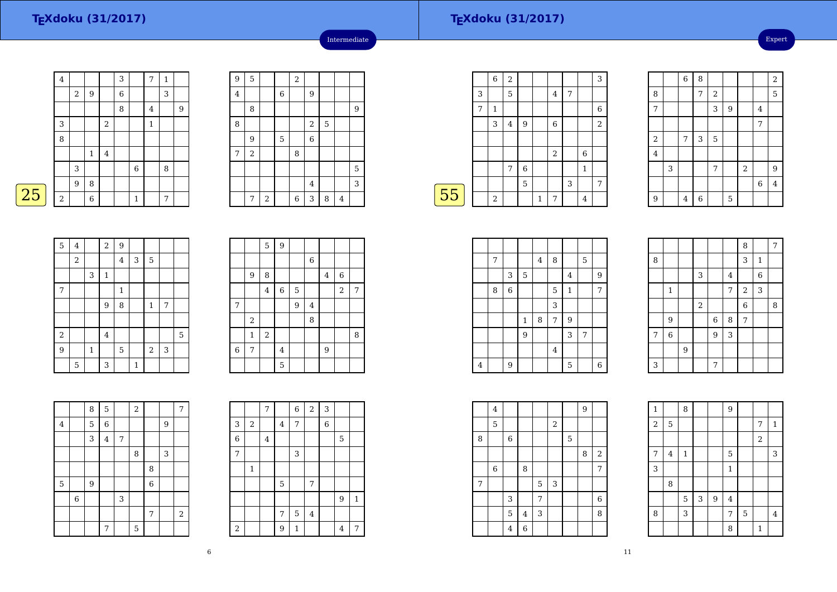| $\overline{\mathbf{4}}$ |            |         |         | 3           |              | 7              | 1 |                  |
|-------------------------|------------|---------|---------|-------------|--------------|----------------|---|------------------|
|                         | $\sqrt{2}$ | 9       |         | $\,$ 6 $\,$ |              |                | 3 |                  |
|                         |            |         |         | 8           |              | $\overline{4}$ |   | $\boldsymbol{9}$ |
| 3                       |            |         | $\,2$   |             |              | $\mathbf{1}$   |   |                  |
| 8                       |            |         |         |             |              |                |   |                  |
|                         |            | $\,1\,$ | $\bf 4$ |             |              |                |   |                  |
|                         | 3          |         |         |             | $\,6\,$      |                | 8 |                  |
|                         | 9          | 8       |         |             |              |                |   |                  |
| 2                       |            | 6       |         |             | $\mathbf{1}$ |                | 7 |                  |
|                         |            |         |         |             |              |                |   |                  |

| $\overline{9}$ | 5     |       |   | $\overline{2}$ |                |   |                         |   |
|----------------|-------|-------|---|----------------|----------------|---|-------------------------|---|
| $\overline{4}$ |       |       | 6 |                | 9              |   |                         |   |
|                | 8     |       |   |                |                |   |                         | 9 |
| 8              |       |       |   |                | $\overline{2}$ | 5 |                         |   |
|                | 9     |       | 5 |                | $\overline{6}$ |   |                         |   |
| 7              | $\,2$ |       |   | 8              |                |   |                         |   |
|                |       |       |   |                |                |   |                         | 5 |
|                |       |       |   |                | $\bf 4$        |   |                         | 3 |
|                | 7     | $\,2$ |   | $\overline{6}$ | 3              | 8 | $\overline{\mathbf{4}}$ |   |

Intermediate

|    |   | 6              | $\overline{2}$ |             |   |                |   |              | 3              |
|----|---|----------------|----------------|-------------|---|----------------|---|--------------|----------------|
|    | 3 |                | 5              |             |   | 4              | 7 |              |                |
|    | 7 | 1              |                |             |   |                |   |              | 6              |
|    |   | 3              | $\overline{4}$ | 9           |   | 6              |   |              | $\overline{2}$ |
|    |   |                |                |             |   |                |   |              |                |
|    |   |                |                |             |   | $\overline{2}$ |   | 6            |                |
|    |   |                | 7              | 6           |   |                |   | $\mathbf{1}$ |                |
|    |   |                |                | $\mathbf 5$ |   |                | 3 |              | 7              |
| 55 |   | $\overline{2}$ |                |             | 1 | 7              |   | 4            |                |
|    |   |                |                |             |   |                |   |              |                |

|                         |   | 6 | 8              |                         |   |            |                | $\overline{a}$          |
|-------------------------|---|---|----------------|-------------------------|---|------------|----------------|-------------------------|
| 8                       |   |   | 7              | $\overline{\mathbf{c}}$ |   |            |                | 5                       |
| 7                       |   |   |                | 3                       | 9 |            | $\overline{4}$ |                         |
|                         |   |   |                |                         |   |            | 7              |                         |
| $\overline{\mathbf{c}}$ |   | 7 | 3              | 5                       |   |            |                |                         |
| $\overline{\mathbf{4}}$ |   |   |                |                         |   |            |                |                         |
|                         | 3 |   |                | 7                       |   | $\sqrt{2}$ |                | $\overline{9}$          |
|                         |   |   |                |                         |   |            | $\,$ 6 $\,$    | $\overline{\mathbf{4}}$ |
| $\overline{9}$          |   | 4 | $\overline{6}$ |                         | 5 |            |                |                         |

| 5          | $\overline{4}$ |              | $\overline{a}$          | 9            |              |              |   |   |
|------------|----------------|--------------|-------------------------|--------------|--------------|--------------|---|---|
|            | $\,2$          |              |                         | $\bf 4$      | 3            | $\mathbf 5$  |   |   |
|            |                | 3            | $\mathbf 1$             |              |              |              |   |   |
| 7          |                |              |                         | $\mathbf{1}$ |              |              |   |   |
|            |                |              | $\overline{9}$          | 8            |              | $\mathbf{1}$ | 7 |   |
|            |                |              |                         |              |              |              |   |   |
| $\sqrt{2}$ |                |              | $\overline{\mathbf{4}}$ |              |              |              |   | 5 |
| 9          |                | $\mathbf{1}$ |                         | 5            |              | $\,2$        | 3 |   |
|            | 5              |              | 3                       |              | $\mathbf{1}$ |              |   |   |

|                  |       | 5              | $\overline{9}$ |   |                |   |                         |   |
|------------------|-------|----------------|----------------|---|----------------|---|-------------------------|---|
|                  |       |                |                |   | $\overline{6}$ |   |                         |   |
|                  | 9     | 8              |                |   |                | 4 | 6                       |   |
|                  |       | $\overline{4}$ | $\,$ 6 $\,$    | 5 |                |   | $\overline{\mathbf{c}}$ | 7 |
| $\overline{7}$   |       |                |                | 9 | $\bf 4$        |   |                         |   |
|                  | $\,2$ |                |                |   | 8              |   |                         |   |
|                  | 1     | $\,2$          |                |   |                |   |                         | 8 |
| $\boldsymbol{6}$ | 7     |                | 4              |   |                | 9 |                         |   |
|                  |       |                | 5              |   |                |   |                         |   |

|                |   | 8 | 5       |            | $\overline{a}$ |                |   | $\overline{7}$ |
|----------------|---|---|---------|------------|----------------|----------------|---|----------------|
| $\overline{4}$ |   | 5 | 6       |            |                |                | 9 |                |
|                |   | 3 | $\bf 4$ | $\sqrt{ }$ |                |                |   |                |
|                |   |   |         |            | 8              |                | 3 |                |
|                |   |   |         |            |                | 8              |   |                |
| 5              |   | 9 |         |            |                | $\overline{6}$ |   |                |
|                | 6 |   |         | 3          |                |                |   |                |
|                |   |   |         |            |                | 7              |   | $\sqrt{2}$     |
|                |   |   | 7       |            | 5              |                |   |                |

|                |              | 7              |   | 6            | $2 \mid$                | 3              |                |              |
|----------------|--------------|----------------|---|--------------|-------------------------|----------------|----------------|--------------|
| 3              | 2            |                | 4 | 7            |                         | $\overline{6}$ |                |              |
| $\overline{6}$ |              | $\overline{4}$ |   |              |                         |                | 5              |              |
| $\overline{7}$ |              |                |   | 3            |                         |                |                |              |
|                | $\mathbf{1}$ |                |   |              |                         |                |                |              |
|                |              |                | 5 |              | 7                       |                |                |              |
|                |              |                |   |              |                         |                | 9              | $\mathbf{1}$ |
|                |              |                | 7 | $\mathbf 5$  | $\overline{\mathbf{4}}$ |                |                |              |
| $\,2$          |              |                | 9 | $\mathbf{1}$ |                         |                | $\overline{4}$ | 7            |

|   | 7 |   |              | 4 | 8       |              | 5 |                |  |
|---|---|---|--------------|---|---------|--------------|---|----------------|--|
|   |   | 3 | 5            |   |         | 4            |   | $\overline{9}$ |  |
|   | 8 | 6 |              |   | 5       | $\mathbf{1}$ |   | 7              |  |
|   |   |   |              |   | 3       |              |   |                |  |
|   |   |   | $\mathbf{1}$ | 8 | 7       | 9            |   |                |  |
|   |   |   | 9            |   |         | 3            | 7 |                |  |
|   |   |   |              |   | $\bf 4$ |              |   |                |  |
| 4 |   | 9 |              |   |         | 5            |   | 6              |  |

|                |              |   |       |   |                | 8              |                | 7 |
|----------------|--------------|---|-------|---|----------------|----------------|----------------|---|
| 8              |              |   |       |   |                | 3              | $\mathbf{1}$   |   |
|                |              |   | 3     |   | $\overline{4}$ |                | $\overline{6}$ |   |
|                | $\mathbf{1}$ |   |       |   | 7              | $\overline{2}$ | 3              |   |
|                |              |   | $\,2$ |   |                | $\overline{6}$ |                | 8 |
|                | 9            |   |       | 6 | 8              | 7              |                |   |
| $\overline{7}$ | 6            |   |       | 9 | 3              |                |                |   |
|                |              | 9 |       |   |                |                |                |   |
| 3              |              |   |       | 7 |                |                |                |   |

|   | 4     |         |                |             |                  |   | 9 |                |
|---|-------|---------|----------------|-------------|------------------|---|---|----------------|
|   | 5     |         |                |             | $\boldsymbol{2}$ |   |   |                |
| 8 |       | $\,6\,$ |                |             |                  | 5 |   |                |
|   |       |         |                |             |                  |   | 8 | $\overline{2}$ |
|   | $\,6$ |         | 8              |             |                  |   |   | 7              |
| 7 |       |         |                | $\mathbf 5$ | 3                |   |   |                |
|   |       | 3       |                | 7           |                  |   |   | $\overline{6}$ |
|   |       | 5       | $\bf 4$        | 3           |                  |   |   | 8              |
|   |       | 4       | $\overline{6}$ |             |                  |   |   |                |

1

7

3

8

8

1 8 9

 $\begin{array}{|c|c|c|c|c|}\n\hline\n3 & 1 \\
\hline\n\end{array}$ 

<sup>3</sup> <sup>7</sup>

5 <sup>3</sup> <sup>9</sup> <sup>4</sup>

 $2 \mid 5 \mid$  7 1

4 1 5 3

2

<sup>5</sup> <sup>4</sup>

8 1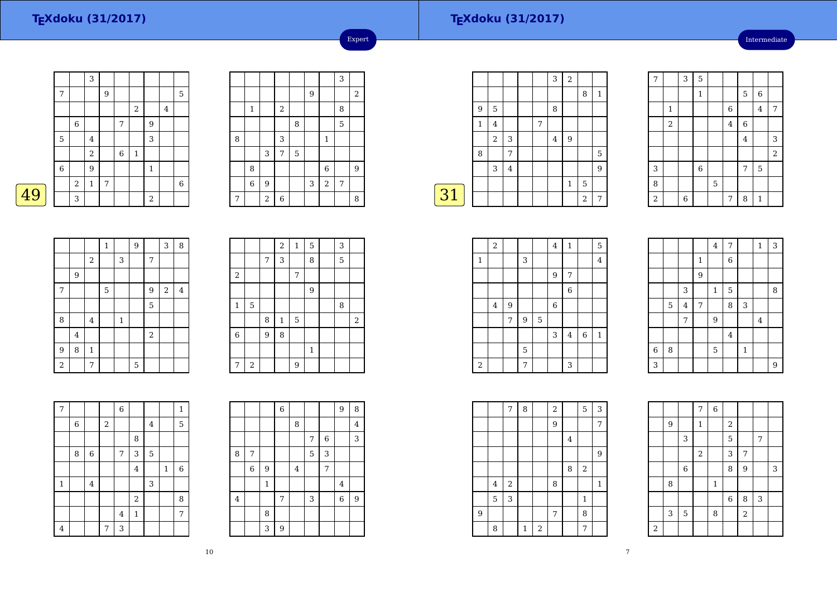49

#### **TEXdoku (31/2017)**

Intermediate

|                |                | 3            |   |       |              |                |                |             |
|----------------|----------------|--------------|---|-------|--------------|----------------|----------------|-------------|
| 7              |                |              | 9 |       |              |                |                | 5           |
|                |                |              |   |       | $\,2$        |                | $\overline{4}$ |             |
|                | $\,6$          |              |   | 7     |              | $\overline{9}$ |                |             |
| $\overline{5}$ |                | $\bf 4$      |   |       |              | 3              |                |             |
|                |                | $\sqrt{2}$   |   | $\,6$ | $\mathbf{1}$ |                |                |             |
| $\,$ 6 $\,$    |                | 9            |   |       |              | $\mathbf{1}$   |                |             |
|                | $\overline{2}$ | $\mathbf{1}$ | 7 |       |              |                |                | $\,$ 6 $\,$ |
|                | 3              |              |   |       |              | $\overline{2}$ |                |             |
|                |                |              |   |       |              |                |                |             |

|   |                |                |                         |   |   |             | 3 |                |
|---|----------------|----------------|-------------------------|---|---|-------------|---|----------------|
|   |                |                |                         |   | 9 |             |   | $\overline{2}$ |
|   | $\mathbf 1$    |                | $\overline{\mathbf{c}}$ |   |   |             | 8 |                |
|   |                |                |                         | 8 |   |             | 5 |                |
| 8 |                |                | 3                       |   |   | $\,1\,$     |   |                |
|   |                | 3              | 7                       | 5 |   |             |   |                |
|   | 8              |                |                         |   |   | $\,$ 6 $\,$ |   | 9              |
|   | $\overline{6}$ | 9              |                         |   | 3 | $\sqrt{2}$  | 7 |                |
| 7 |                | $\overline{a}$ | $\overline{6}$          |   |   |             |   | 8              |
|   |                |                |                         |   |   |             |   |                |

Expert

|    |              |                |         |   | 3              | $\overline{2}$ |                |             |
|----|--------------|----------------|---------|---|----------------|----------------|----------------|-------------|
|    |              |                |         |   |                |                | 8              | 1           |
|    | 9            | 5              |         |   | 8              |                |                |             |
|    | $\mathbf{1}$ | 4              |         | 7 |                |                |                |             |
|    |              | $\overline{2}$ | 3       |   | $\overline{4}$ | 9              |                |             |
|    | 8            |                | 7       |   |                |                |                | $\mathbf 5$ |
|    |              | 3              | $\bf 4$ |   |                |                |                | 9           |
|    |              |                |         |   |                | $\mathbf{1}$   | 5              |             |
| 31 |              |                |         |   |                |                | $\overline{2}$ | 7           |
|    |              |                |         |   |                |                |                |             |

| 7              |             | 3              | 5              |   |                |                |              |                |
|----------------|-------------|----------------|----------------|---|----------------|----------------|--------------|----------------|
|                |             |                | $\mathbf{1}$   |   |                | 5              | $\,6$        |                |
|                | $\mathbf 1$ |                |                |   | $\,$ 6 $\,$    |                | $\bf 4$      | 7              |
|                | $\,2$       |                |                |   | $\overline{4}$ | $\,$ 6 $\,$    |              |                |
|                |             |                |                |   |                | $\overline{4}$ |              | 3              |
|                |             |                |                |   |                |                |              | $\overline{a}$ |
| 3              |             |                | $\overline{6}$ |   |                | 7              | 5            |                |
| 8              |             |                |                | 5 |                |                |              |                |
| $\overline{2}$ |             | $\overline{6}$ |                |   | 7              | 8              | $\mathbf{1}$ |                |

|                |                |                         | $\mathbf 1$ |              | 9 |                | 3          | 8 |
|----------------|----------------|-------------------------|-------------|--------------|---|----------------|------------|---|
|                |                | $\sqrt{2}$              |             | 3            |   | 7              |            |   |
|                | 9              |                         |             |              |   |                |            |   |
| 7              |                |                         | 5           |              |   | 9              | $\sqrt{2}$ | 4 |
|                |                |                         |             |              |   | 5              |            |   |
| 8              |                | $\overline{\mathbf{4}}$ |             | $\mathbf{1}$ |   |                |            |   |
|                | $\overline{4}$ |                         |             |              |   | $\overline{2}$ |            |   |
| 9              | 8              | $\mathbf 1$             |             |              |   |                |            |   |
| $\overline{2}$ |                | 7                       |             |              | 5 |                |            |   |

|              |       |   | $\overline{2}$ | $\mathbf{1}$ | $\overline{5}$ | 3 |   |
|--------------|-------|---|----------------|--------------|----------------|---|---|
|              |       | 7 | 3              |              | 8              | 5 |   |
| $\,2$        |       |   |                | 7            |                |   |   |
|              |       |   |                |              | 9              |   |   |
| $\mathbf{1}$ | 5     |   |                |              |                | 8 |   |
|              |       | 8 | $\mathbf{1}$   | $\mathbf 5$  |                |   | 2 |
| $\,$ 6 $\,$  |       | 9 | 8              |              |                |   |   |
|              |       |   |                |              | $\mathbf{1}$   |   |   |
| 7            | $\,2$ |   |                | 9            |                |   |   |

| $\overline{7}$ |   |             |       | $\overline{6}$ |              |             |              | $\mathbf{1}$ |
|----------------|---|-------------|-------|----------------|--------------|-------------|--------------|--------------|
|                | 6 |             | $\,2$ |                |              | 4           |              | 5            |
|                |   |             |       |                | $\,$ 8 $\,$  |             |              |              |
|                | 8 | $\,$ 6 $\,$ |       | 7              | 3            | $\mathbf 5$ |              |              |
|                |   |             |       |                | $\bf 4$      |             | $\mathbf{1}$ | $\,$ 6 $\,$  |
| $\mathbf 1$    |   | $\bf 4$     |       |                |              | 3           |              |              |
|                |   |             |       |                | $\sqrt{2}$   |             |              | 8            |
|                |   |             |       | $\overline{4}$ | $\mathbf{1}$ |             |              | 7            |
| $\overline{4}$ |   |             | 7     | 3              |              |             |              |              |

|         |   |              | 6              |                         |   |             | 9 | 8              |
|---------|---|--------------|----------------|-------------------------|---|-------------|---|----------------|
|         |   |              |                | 8                       |   |             |   | $\overline{4}$ |
|         |   |              |                |                         | 7 | $\,$ 6 $\,$ |   | 3              |
| 8       | 7 |              |                |                         | 5 | 3           |   |                |
|         | 6 | 9            |                | $\overline{\mathbf{4}}$ |   | 7           |   |                |
|         |   | $\mathbf{1}$ |                |                         |   |             | 4 |                |
| $\bf 4$ |   |              | 7              |                         | 3 |             | 6 | 9              |
|         |   | 8            |                |                         |   |             |   |                |
|         |   | 3            | $\overline{9}$ |                         |   |             |   |                |

|             | $\,2$ |   |       |             | $\bf 4$ | $\mathbf{1}$     |             | 5              |  |
|-------------|-------|---|-------|-------------|---------|------------------|-------------|----------------|--|
| $\mathbf 1$ |       |   | 3     |             |         |                  |             | $\overline{4}$ |  |
|             |       |   |       |             | 9       | 7                |             |                |  |
|             |       |   |       |             |         | $\boldsymbol{6}$ |             |                |  |
|             | 4     | 9 |       |             | 6       |                  |             |                |  |
|             |       | 7 | $9\,$ | $\mathbf 5$ |         |                  |             |                |  |
|             |       |   |       |             | 3       | $\overline{4}$   | $\,$ 6 $\,$ | $\mathbf{1}$   |  |
|             |       |   | 5     |             |         |                  |             |                |  |
| $\,2$       |       |   | 7     |             |         | 3                |             |                |  |

|       |             |                |                | $\bf 4$          | 7              |             | $\mathbf{1}$ | 3 |
|-------|-------------|----------------|----------------|------------------|----------------|-------------|--------------|---|
|       |             |                | $\mathbf{1}$   |                  | $\,6$          |             |              |   |
|       |             |                | $\overline{9}$ |                  |                |             |              |   |
|       |             | 3              |                | $\mathbf{1}$     | $\overline{5}$ |             |              | 8 |
|       | $\mathbf 5$ | $\overline{4}$ | 7              |                  | 8              | 3           |              |   |
|       |             | 7              |                | $\boldsymbol{9}$ |                |             | $\bf 4$      |   |
|       |             |                |                |                  | $\overline{4}$ |             |              |   |
| $\,6$ | 8           |                |                | 5                |                | $\mathbf 1$ |              |   |
| 3     |             |                |                |                  |                |             |              | 9 |

7 $\begin{array}{c|c} 7 & 6 \\ \hline 1 & \end{array}$ 

2

 $3 \mid 5 \mid 8 \mid 2$ 

 $\frac{2}{5}$ 

 $3 \overline{7}$ 

<sup>8</sup> <sup>9</sup> <sup>3</sup>

 $\begin{array}{|c|c|c|c|c|} \hline 6 & 8 & 3 \\ \hline \end{array}$ 

<sup>5</sup> <sup>7</sup>

9 <sup>1</sup>

3

6

 $\begin{array}{c|c} 8 & 1 \end{array}$ 

8

2

|   |             | 7          | 8 |   | $\overline{a}$ |   | 5              | $\ensuremath{\mathsf{3}}$ |  |
|---|-------------|------------|---|---|----------------|---|----------------|---------------------------|--|
|   |             |            |   |   | 9              |   |                | 7                         |  |
|   |             |            |   |   |                | 4 |                |                           |  |
|   |             |            |   |   |                |   |                | 9                         |  |
|   |             |            |   |   |                | 8 | $\overline{2}$ |                           |  |
|   | 4           | $\sqrt{2}$ |   |   | 8              |   |                | $\,1\,$                   |  |
|   | $\mathbf 5$ | 3          |   |   |                |   | $\mathbf{1}$   |                           |  |
| 9 |             |            |   |   | $\overline{7}$ |   | 8              |                           |  |
|   | 8           |            | 1 | 2 |                |   | 7              |                           |  |